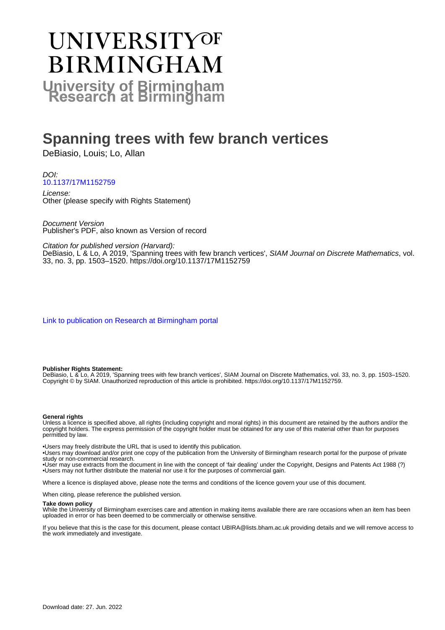# UNIVERSITYOF **BIRMINGHAM University of Birmingham**

# **Spanning trees with few branch vertices**

DeBiasio, Louis; Lo, Allan

## DOI: [10.1137/17M1152759](https://doi.org/10.1137/17M1152759)

License: Other (please specify with Rights Statement)

Document Version Publisher's PDF, also known as Version of record

Citation for published version (Harvard):

DeBiasio, L'& Lo, A 2019, 'Spanning trees with few branch vertices', SIAM Journal on Discrete Mathematics, vol. 33, no. 3, pp. 1503–1520. <https://doi.org/10.1137/17M1152759>

[Link to publication on Research at Birmingham portal](https://birmingham.elsevierpure.com/en/publications/2f34bbac-d81e-42f1-8cfb-dc38c56914aa)

#### **Publisher Rights Statement:**

DeBiasio, L & Lo, A 2019, 'Spanning trees with few branch vertices', SIAM Journal on Discrete Mathematics, vol. 33, no. 3, pp. 1503–1520. Copyright © by SIAM. Unauthorized reproduction of this article is prohibited. https://doi.org/10.1137/17M1152759.

#### **General rights**

Unless a licence is specified above, all rights (including copyright and moral rights) in this document are retained by the authors and/or the copyright holders. The express permission of the copyright holder must be obtained for any use of this material other than for purposes permitted by law.

• Users may freely distribute the URL that is used to identify this publication.

• Users may download and/or print one copy of the publication from the University of Birmingham research portal for the purpose of private study or non-commercial research.

• User may use extracts from the document in line with the concept of 'fair dealing' under the Copyright, Designs and Patents Act 1988 (?) • Users may not further distribute the material nor use it for the purposes of commercial gain.

Where a licence is displayed above, please note the terms and conditions of the licence govern your use of this document.

When citing, please reference the published version.

#### **Take down policy**

While the University of Birmingham exercises care and attention in making items available there are rare occasions when an item has been uploaded in error or has been deemed to be commercially or otherwise sensitive.

If you believe that this is the case for this document, please contact UBIRA@lists.bham.ac.uk providing details and we will remove access to the work immediately and investigate.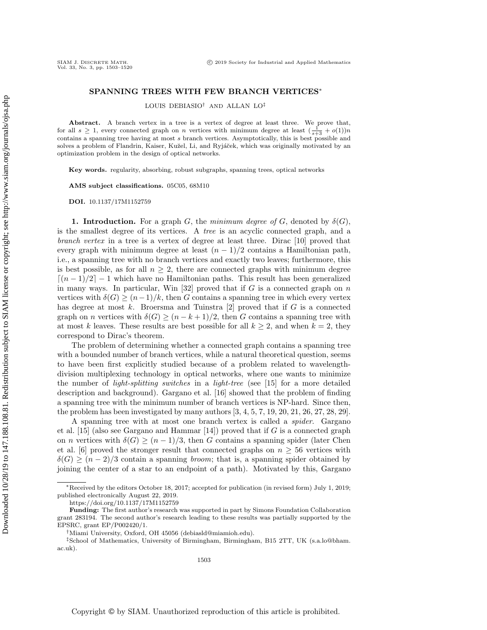### SPANNING TREES WITH FEW BRANCH VERTICES<sup>∗</sup>

LOUIS DEBIASIO† AND ALLAN LO‡

Abstract. A branch vertex in a tree is a vertex of degree at least three. We prove that, for all  $s \geq 1$ , every connected graph on n vertices with minimum degree at least  $\left(\frac{1}{s+3} + o(1)\right)n$ contains a spanning tree having at most s branch vertices. Asymptotically, this is best possible and solves a problem of Flandrin, Kaiser, Kužel, Li, and Ryjáček, which was originally motivated by an optimization problem in the design of optical networks.

Key words. regularity, absorbing, robust subgraphs, spanning trees, optical networks

AMS subject classifications. 05C05, 68M10

DOI. 10.1137/17M1152759

SIAM J. DISCRETE MATH.<br>Vol. 33, No. 3, pp. 1503-1520

**1. Introduction.** For a graph G, the minimum degree of G, denoted by  $\delta(G)$ , is the smallest degree of its vertices. A tree is an acyclic connected graph, and a branch vertex in a tree is a vertex of degree at least three. Dirac [\[10\]](#page-17-0) proved that every graph with minimum degree at least  $(n-1)/2$  contains a Hamiltonian path, i.e., a spanning tree with no branch vertices and exactly two leaves; furthermore, this is best possible, as for all  $n \geq 2$ , there are connected graphs with minimum degree  $(n-1)/2$  − 1 which have no Hamiltonian paths. This result has been generalized in many ways. In particular, Win  $[32]$  proved that if G is a connected graph on n vertices with  $\delta(G) \geq (n-1)/k$ , then G contains a spanning tree in which every vertex has degree at most k. Broersma and Tuinstra  $[2]$  proved that if G is a connected graph on *n* vertices with  $\delta(G) \ge (n - k + 1)/2$ , then G contains a spanning tree with at most k leaves. These results are best possible for all  $k \geq 2$ , and when  $k = 2$ , they correspond to Dirac's theorem.

The problem of determining whether a connected graph contains a spanning tree with a bounded number of branch vertices, while a natural theoretical question, seems to have been first explicitly studied because of a problem related to wavelengthdivision multiplexing technology in optical networks, where one wants to minimize the number of *light-splitting switches* in a *light-tree* (see [\[15\]](#page-17-2) for a more detailed description and background). Gargano et al. [\[16\]](#page-17-3) showed that the problem of finding a spanning tree with the minimum number of branch vertices is NP-hard. Since then, the problem has been investigated by many authors [\[3,](#page-17-4) [4,](#page-17-5) [5,](#page-17-6) [7,](#page-17-7) [19,](#page-17-8) [20,](#page-18-1) [21,](#page-18-2) [26,](#page-18-3) [27,](#page-18-4) [28,](#page-18-5) [29\]](#page-18-6).

A spanning tree with at most one branch vertex is called a spider. Gargano et al. [\[15\]](#page-17-2) (also see Gargano and Hammar [\[14\]](#page-17-9)) proved that if G is a connected graph on *n* vertices with  $\delta(G) \ge (n-1)/3$ , then G contains a spanning spider (later Chen et al. [\[6\]](#page-17-10) proved the stronger result that connected graphs on  $n \geq 56$  vertices with  $\delta(G) \ge (n-2)/3$  contain a spanning *broom*; that is, a spanning spider obtained by joining the center of a star to an endpoint of a path). Motivated by this, Gargano

‡School of Mathematics, University of Birmingham, Birmingham, B15 2TT, UK [\(s.a.lo@bham.](mailto:s.a.lo@bham.ac.uk) [ac.uk\)](mailto:s.a.lo@bham.ac.uk).

<sup>∗</sup>Received by the editors October 18, 2017; accepted for publication (in revised form) July 1, 2019; published electronically August 22, 2019.

<https://doi.org/10.1137/17M1152759>

Funding: The first author's research was supported in part by Simons Foundation Collaboration grant 283194. The second author's research leading to these results was partially supported by the EPSRC, grant EP/P002420/1.

<sup>†</sup>Miami University, Oxford, OH 45056 [\(debiasld@miamioh.edu\)](mailto:debiasld@miamioh.edu).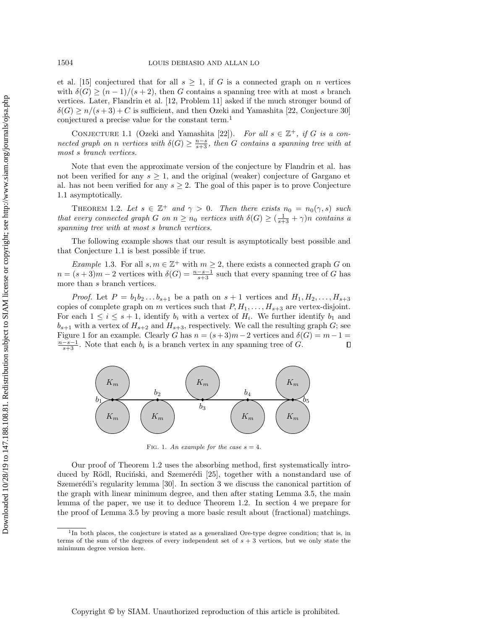et al. [\[15\]](#page-17-2) conjectured that for all  $s \geq 1$ , if G is a connected graph on n vertices with  $\delta(G) \ge (n-1)/(s+2)$ , then G contains a spanning tree with at most s branch vertices. Later, Flandrin et al. [\[12,](#page-17-11) Problem 11] asked if the much stronger bound of  $\delta(G) \ge n/(s+3) + C$  is sufficient, and then Ozeki and Yamashita [\[22,](#page-18-7) Conjecture 30] conjectured a precise value for the constant term.[1](#page-2-0)

<span id="page-2-1"></span>CONJECTURE 1.1 (Ozeki and Yamashita [\[22\]](#page-18-7)). For all  $s \in \mathbb{Z}^+$ , if G is a connected graph on n vertices with  $\delta(G) \geq \frac{n-s}{s+3}$ , then G contains a spanning tree with at most s branch vertices.

Note that even the approximate version of the conjecture by Flandrin et al. has not been verified for any  $s \geq 1$ , and the original (weaker) conjecture of Gargano et al. has not been verified for any  $s \geq 2$ . The goal of this paper is to prove Conjecture [1.1](#page-2-1) asymptotically.

<span id="page-2-3"></span>THEOREM 1.2. Let  $s \in \mathbb{Z}^+$  and  $\gamma > 0$ . Then there exists  $n_0 = n_0(\gamma, s)$  such that every connected graph G on  $n \geq n_0$  vertices with  $\delta(G) \geq (\frac{1}{s+3} + \gamma)n$  contains a spanning tree with at most s branch vertices.

The following example shows that our result is asymptotically best possible and that Conjecture [1.1](#page-2-1) is best possible if true.

*Example* 1.3. For all  $s, m \in \mathbb{Z}^+$  with  $m \geq 2$ , there exists a connected graph G on  $n = (s + 3)m - 2$  vertices with  $\delta(G) = \frac{n - s - 1}{s + 3}$  such that every spanning tree of G has more than s branch vertices.

*Proof.* Let  $P = b_1b_2...b_{s+1}$  be a path on  $s+1$  vertices and  $H_1, H_2,..., H_{s+3}$ copies of complete graph on m vertices such that  $P, H_1, \ldots, H_{s+3}$  are vertex-disjoint. For each  $1 \leq i \leq s+1$ , identify  $b_i$  with a vertex of  $H_i$ . We further identify  $b_1$  and  $b_{s+1}$  with a vertex of  $H_{s+2}$  and  $H_{s+3}$ , respectively. We call the resulting graph G; see Figure [1](#page-2-2) for an example. Clearly G has  $n = (s+3)m-2$  vertices and  $\delta(G) = m-1$  $\frac{n-s-1}{s+3}$ . Note that each  $b_i$  is a branch vertex in any spanning tree of G.  $\Box$ 

<span id="page-2-2"></span>

FIG. 1. An example for the case  $s = 4$ .

Our proof of Theorem [1.2](#page-2-3) uses the absorbing method, first systematically intro-duced by Rödl, Rucinski, and Szemerédi [\[25\]](#page-18-8), together with a nonstandard use of Szemerédi's regularity lemma  $[30]$ . In section [3](#page-4-0) we discuss the canonical partition of the graph with linear minimum degree, and then after stating Lemma [3.5,](#page-5-0) the main lemma of the paper, we use it to deduce Theorem [1.2.](#page-2-3) In section [4](#page-6-0) we prepare for the proof of Lemma [3.5](#page-5-0) by proving a more basic result about (fractional) matchings.

<span id="page-2-0"></span><sup>&</sup>lt;sup>1</sup>In both places, the conjecture is stated as a generalized Ore-type degree condition; that is, in terms of the sum of the degrees of every independent set of  $s + 3$  vertices, but we only state the minimum degree version here.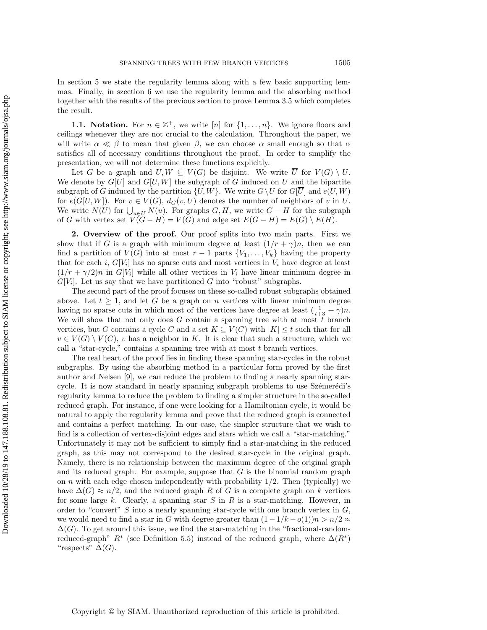In section [5](#page-8-0) we state the regularity lemma along with a few basic supporting lemmas. Finally, in szection [6](#page-13-0) we use the regularity lemma and the absorbing method together with the results of the previous section to prove Lemma [3.5](#page-5-0) which completes the result.

**1.1. Notation.** For  $n \in \mathbb{Z}^+$ , we write [n] for  $\{1, \ldots, n\}$ . We ignore floors and ceilings whenever they are not crucial to the calculation. Throughout the paper, we will write  $\alpha \ll \beta$  to mean that given  $\beta$ , we can choose  $\alpha$  small enough so that  $\alpha$ satisfies all of necessary conditions throughout the proof. In order to simplify the presentation, we will not determine these functions explicitly.

Let G be a graph and  $U, W \subseteq V(G)$  be disjoint. We write  $\overline{U}$  for  $V(G) \setminus U$ . We denote by  $G[U]$  and  $G[U, W]$  the subgraph of G induced on U and the bipartite subgraph of G induced by the partition  $\{U, W\}$ . We write  $G\setminus U$  for  $G[\overline{U}]$  and  $e(U, W)$ for  $e(G[U, W])$ . For  $v \in V(G)$ ,  $d_G(v, U)$  denotes the number of neighbors of v in U. We write  $N(U)$  for  $\bigcup_{u \in U} N(u)$ . For graphs  $G, H$ , we write  $G - H$  for the subgraph of G with vertex set  $V(G - H) = V(G)$  and edge set  $E(G - H) = E(G) \setminus E(H)$ .

<span id="page-3-0"></span>2. Overview of the proof. Our proof splits into two main parts. First we show that if G is a graph with minimum degree at least  $(1/r + \gamma)n$ , then we can find a partition of  $V(G)$  into at most  $r-1$  parts  $\{V_1, \ldots, V_k\}$  having the property that for each i,  $G[V_i]$  has no sparse cuts and most vertices in  $V_i$  have degree at least  $(1/r + \gamma/2)n$  in  $G[V_i]$  while all other vertices in  $V_i$  have linear minimum degree in  $G[V_i]$ . Let us say that we have partitioned G into "robust" subgraphs.

The second part of the proof focuses on these so-called robust subgraphs obtained above. Let  $t \geq 1$ , and let G be a graph on n vertices with linear minimum degree having no sparse cuts in which most of the vertices have degree at least  $(\frac{1}{t+3} + \gamma)n$ . We will show that not only does G contain a spanning tree with at most  $t$  branch vertices, but G contains a cycle C and a set  $K \subseteq V(C)$  with  $|K| \leq t$  such that for all  $v \in V(G) \setminus V(C)$ , v has a neighbor in K. It is clear that such a structure, which we call a "star-cycle," contains a spanning tree with at most  $t$  branch vertices.

The real heart of the proof lies in finding these spanning star-cycles in the robust subgraphs. By using the absorbing method in a particular form proved by the first author and Nelsen [\[9\]](#page-17-12), we can reduce the problem to finding a nearly spanning starcycle. It is now standard in nearly spanning subgraph problems to use Szémerédi's regularity lemma to reduce the problem to finding a simpler structure in the so-called reduced graph. For instance, if one were looking for a Hamiltonian cycle, it would be natural to apply the regularity lemma and prove that the reduced graph is connected and contains a perfect matching. In our case, the simpler structure that we wish to find is a collection of vertex-disjoint edges and stars which we call a "star-matching." Unfortunately it may not be sufficient to simply find a star-matching in the reduced graph, as this may not correspond to the desired star-cycle in the original graph. Namely, there is no relationship between the maximum degree of the original graph and its reduced graph. For example, suppose that  $G$  is the binomial random graph on  $n$  with each edge chosen independently with probability  $1/2$ . Then (typically) we have  $\Delta(G) \approx n/2$ , and the reduced graph R of G is a complete graph on k vertices for some large k. Clearly, a spanning star  $S$  in  $R$  is a star-matching. However, in order to "convert" S into a nearly spanning star-cycle with one branch vertex in  $G$ , we would need to find a star in G with degree greater than  $(1 - 1/k - o(1))n > n/2 \approx$  $\Delta(G)$ . To get around this issue, we find the star-matching in the "fractional-randomreduced-graph"  $R^*$  (see Definition [5.5\)](#page-9-0) instead of the reduced graph, where  $\Delta(R^*)$ "respects"  $\Delta(G)$ .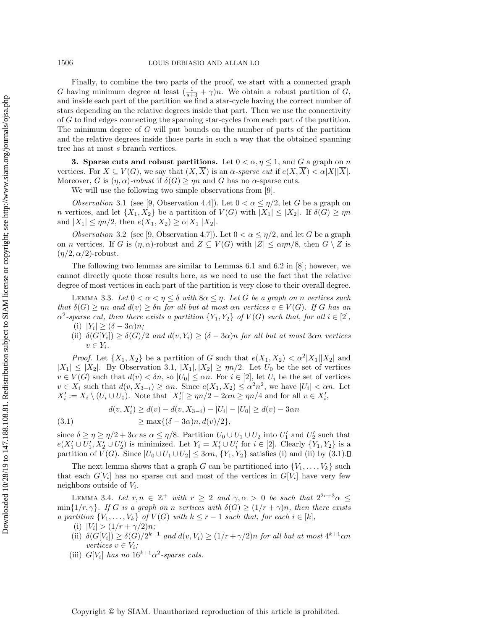Finally, to combine the two parts of the proof, we start with a connected graph G having minimum degree at least  $(\frac{1}{s+3} + \gamma)n$ . We obtain a robust partition of G, and inside each part of the partition we find a star-cycle having the correct number of stars depending on the relative degrees inside that part. Then we use the connectivity of G to find edges connecting the spanning star-cycles from each part of the partition. The minimum degree of G will put bounds on the number of parts of the partition and the relative degrees inside those parts in such a way that the obtained spanning tree has at most s branch vertices.

<span id="page-4-0"></span>**3.** Sparse cuts and robust partitions. Let  $0 < \alpha, \eta \leq 1$ , and G a graph on n vertices. For  $X \subseteq V(G)$ , we say that  $(X,\overline{X})$  is an  $\alpha$ -sparse cut if  $e(X,\overline{X}) < \alpha |X||\overline{X}|$ . Moreover, G is  $(\eta, \alpha)$ -robust if  $\delta(G) \ge \eta n$  and G has no  $\alpha$ -sparse cuts.

We will use the following two simple observations from [\[9\]](#page-17-12).

<span id="page-4-1"></span>Observation 3.1 (see [\[9,](#page-17-12) Observation 4.4]). Let  $0 < \alpha \leq \eta/2$ , let G be a graph on n vertices, and let  $\{X_1, X_2\}$  be a partition of  $V(G)$  with  $|X_1| \leq |X_2|$ . If  $\delta(G) \geq \eta n$ and  $|X_1| \le \eta n/2$ , then  $e(X_1, X_2) \ge \alpha |X_1||X_2|$ .

<span id="page-4-5"></span>Observation 3.2 (see [\[9,](#page-17-12) Observation 4.7]). Let  $0 < \alpha \leq \eta/2$ , and let G be a graph on *n* vertices. If G is  $(\eta, \alpha)$ -robust and  $Z \subseteq V(G)$  with  $|Z| \le \alpha \eta n/8$ , then  $G \setminus Z$  is  $(\eta/2, \alpha/2)$ -robust.

The following two lemmas are similar to Lemmas 6.1 and 6.2 in [\[8\]](#page-17-13); however, we cannot directly quote those results here, as we need to use the fact that the relative degree of most vertices in each part of the partition is very close to their overall degree.

<span id="page-4-3"></span>LEMMA 3.3. Let  $0 < \alpha < \eta \leq \delta$  with  $8\alpha \leq \eta$ . Let G be a graph on n vertices such that  $\delta(G) \geq \eta n$  and  $d(v) \geq \delta n$  for all but at most  $\alpha n$  vertices  $v \in V(G)$ . If G has an  $\alpha^2$ -sparse cut, then there exists a partition  $\{Y_1, Y_2\}$  of  $V(G)$  such that, for all  $i \in [2]$ ,

- (i)  $|Y_i| \geq (\delta 3\alpha)n;$
- (ii)  $\delta(G[Y_i]) \geq \delta(G)/2$  and  $d(v,Y_i) \geq (\delta 3\alpha)n$  for all but at most 3 $\alpha n$  vertices  $v \in Y_i$ .

*Proof.* Let  $\{X_1, X_2\}$  be a partition of G such that  $e(X_1, X_2) < \alpha^2 |X_1||X_2|$  and  $|X_1| \leq |X_2|$ . By Observation [3.1,](#page-4-1)  $|X_1|, |X_2| \geq \eta n/2$ . Let  $U_0$  be the set of vertices  $v \in V(G)$  such that  $d(v) < \delta n$ , so  $|U_0| \leq \alpha n$ . For  $i \in [2]$ , let  $U_i$  be the set of vertices  $v \in X_i$  such that  $d(v, X_{3-i}) \ge \alpha n$ . Since  $e(X_1, X_2) \le \alpha^2 n^2$ , we have  $|U_i| < \alpha n$ . Let  $X'_i := X_i \setminus (U_i \cup U_0)$ . Note that  $|X'_i| \ge \eta n/2 - 2\alpha n \ge \eta n/4$  and for all  $v \in X'_i$ ,

<span id="page-4-2"></span>(3.1) 
$$
d(v, X'_i) \ge d(v) - d(v, X_{3-i}) - |U_i| - |U_0| \ge d(v) - 3\alpha n
$$

$$
\ge \max\{(\delta - 3\alpha)n, d(v)/2\},
$$

since  $\delta \geq \eta \geq \eta/2 + 3\alpha$  as  $\alpha \leq \eta/8$ . Partition  $U_0 \cup U_1 \cup U_2$  into  $U'_1$  and  $U'_2$  such that  $e(X'_1 \cup U'_1, X'_2 \cup U'_2)$  is minimized. Let  $Y_i = X'_i \cup U'_i$  for  $i \in [2]$ . Clearly  $\{Y_1, Y_2\}$  is a partition of  $V(G)$ . Since  $|U_0 \cup U_1 \cup U_2| \leq 3\alpha n$ ,  $\{Y_1, Y_2\}$  satisfies (i) and (ii) by [\(3.1\)](#page-4-2).

The next lemma shows that a graph G can be partitioned into  $\{V_1, \ldots, V_k\}$  such that each  $G[V_i]$  has no sparse cut and most of the vertices in  $G[V_i]$  have very few neighbors outside of  $V_i$ .

<span id="page-4-4"></span>LEMMA 3.4. Let  $r, n \in \mathbb{Z}^+$  with  $r \geq 2$  and  $\gamma, \alpha > 0$  be such that  $2^{2r+3}\alpha \leq$ min $\{1/r, \gamma\}$ . If G is a graph on n vertices with  $\delta(G) \geq (1/r + \gamma)n$ , then there exists a partition  $\{V_1, \ldots, V_k\}$  of  $V(G)$  with  $k \leq r-1$  such that, for each  $i \in [k]$ ,

- (i)  $|V_i| > (1/r + \gamma/2)n;$
- (ii)  $\delta(G[V_i]) \geq \delta(G)/2^{k-1}$  and  $d(v, V_i) \geq (1/r + \gamma/2)n$  for all but at most  $4^{k+1}\alpha n$ vertices  $v \in V_i$ ;
- (iii)  $G[V_i]$  has no  $16^{k+1}\alpha^2$ -sparse cuts.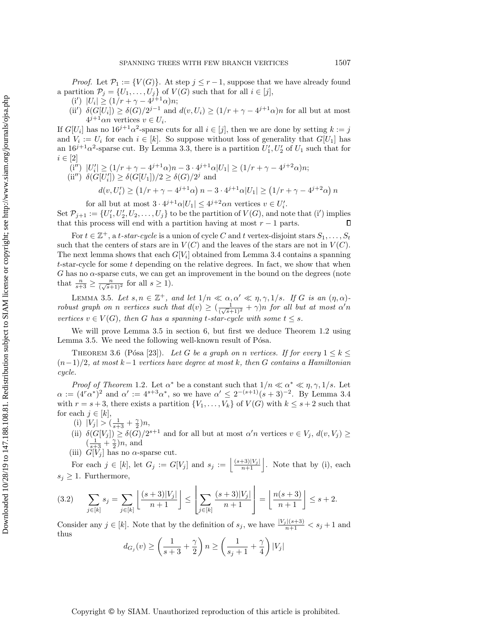*Proof.* Let  $\mathcal{P}_1 := \{V(G)\}\$ . At step  $j \leq r-1$ , suppose that we have already found a partition  $\mathcal{P}_j = \{U_1, \ldots, U_j\}$  of  $V(G)$  such that for all  $i \in [j]$ ,

- (i')  $|U_i| \ge (1/r + \gamma 4^{j+1}\alpha)n;$
- (ii')  $\delta(G[U_i]) \geq \delta(G)/2^{j-1}$  and  $d(v, U_i) \geq (1/r + \gamma 4^{j+1}\alpha)n$  for all but at most  $4^{j+1}\alpha n$  vertices  $v \in U_i$ .

If  $G[U_i]$  has no  $16^{j+1}\alpha^2$ -sparse cuts for all  $i \in [j]$ , then we are done by setting  $k := j$ and  $V_i := U_i$  for each  $i \in [k]$ . So suppose without loss of generality that  $G[U_1]$  has an  $16^{j+1}\alpha^2$ -sparse cut. By Lemma [3.3,](#page-4-3) there is a partition  $U'_1, U'_2$  of  $U_1$  such that for  $i \in [2]$ 

- $(i'') |U'_i| \geq (1/r + \gamma 4^{j+1}\alpha)n 3 \cdot 4^{j+1}\alpha|U_1| \geq (1/r + \gamma 4^{j+2}\alpha)n;$
- (ii'')  $\delta(G[U'_i]) \geq \delta(G[U_1])/2 \geq \delta(G)/2^j$  and

$$
d(v, U'_i) \ge \left(1/r + \gamma - 4^{j+1}\alpha\right)n - 3 \cdot 4^{j+1}\alpha|U_1| \ge \left(1/r + \gamma - 4^{j+2}\alpha\right)n
$$

for all but at most  $3 \cdot 4^{j+1} \alpha |U_1| \leq 4^{j+2} \alpha n$  vertices  $v \in U'_i$ .

Set  $\mathcal{P}_{j+1} := \{U'_1, U'_2, U_2, \ldots, U_j\}$  to be the partition of  $V(G)$ , and note that (i') implies that this process will end with a partition having at most  $r - 1$  parts.  $\Box$ 

For  $t \in \mathbb{Z}^+$ , a t-star-cycle is a union of cycle C and t vertex-disjoint stars  $S_1, \ldots, S_t$ such that the centers of stars are in  $V(C)$  and the leaves of the stars are not in  $V(C)$ . The next lemma shows that each  $G[V_i]$  obtained from Lemma [3.4](#page-4-4) contains a spanning t-star-cycle for some t depending on the relative degrees. In fact, we show that when  $G$  has no  $\alpha$ -sparse cuts, we can get an improvement in the bound on the degrees (note that  $\frac{n}{s+3} \geq \frac{n}{(\sqrt{s}+1)^2}$  for all  $s \geq 1$ ). (Y)  $|U_i| \geq (1/r + \gamma - 4^{j+1} \alpha) m$ <br>  $U^2$  (W)  $\mathcal{U}(G[U_1]) \geq \delta(G)/2^{j-1}$  and  $d(v, U_i) \geq (1/r + \gamma - 4^{j+1} \alpha) m$ <br>  $W_i \sim 167$ , for each  $i \in [p],$  then we are downlub the subject to  $\alpha$ , then we are downlub the subject to  $\alpha$  is a

<span id="page-5-0"></span>LEMMA 3.5. Let  $s, n \in \mathbb{Z}^+$ , and let  $1/n \ll \alpha, \alpha' \ll \eta, \gamma, 1/s$ . If G is an  $(\eta, \alpha)$ robust graph on n vertices such that  $d(v) \geq (\frac{1}{(\sqrt{s}+1)^2} + \gamma)n$  for all but at most  $\alpha'n$ vertices  $v \in V(G)$ , then G has a spanning t-star-cycle with some  $t \leq s$ .

<span id="page-5-1"></span>We will prove Lemma [3.5](#page-5-0) in section [6,](#page-13-0) but first we deduce Theorem [1.2](#page-2-3) using Lemma [3.5.](#page-5-0) We need the following well-known result of Pósa.

THEOREM 3.6 (Pósa [\[23\]](#page-18-10)). Let G be a graph on n vertices. If for every  $1 \leq k \leq$  $(n-1)/2$ , at most k-1 vertices have degree at most k, then G contains a Hamiltonian cycle.

*Proof of Theorem* [1.2](#page-2-3). Let  $\alpha^*$  be a constant such that  $1/n \ll \alpha^* \ll \eta, \gamma, 1/s$ . Let  $\alpha := (4^r \alpha^*)^2$  and  $\alpha' := 4^{s+3} \alpha^*$ , so we have  $\alpha' \leq 2^{-(s+1)} (s+3)^{-2}$ . By Lemma [3.4](#page-4-4) with  $r = s + 3$ , there exists a partition  $\{V_1, \ldots, V_k\}$  of  $V(G)$  with  $k \leq s + 2$  such that for each  $j \in [k]$ ,

- (i)  $|V_j| > (\frac{1}{s+3} + \frac{\gamma}{2})n$ ,
- (ii)  $\delta(G[V_j]) \geq \delta(G)/2^{s+1}$  and for all but at most  $\alpha'n$  vertices  $v \in V_j$ ,  $d(v, V_j) \geq$  $\left(\frac{1}{s+3} + \frac{\gamma}{2}\right)n$ , and
- (iii)  $\tilde{G}[\tilde{V}_i]$  has no  $\alpha$ -sparse cut.

For each  $j \in [k]$ , let  $G_j := G[V_j]$  and  $s_j := \left| \frac{(s+3)|V_j|}{n+1} \right|$ . Note that by (i), each  $s_j \geq 1$ . Furthermore,

<span id="page-5-2"></span>
$$
(3.2) \qquad \sum_{j\in[k]} s_j = \sum_{j\in[k]} \left\lfloor \frac{(s+3)|V_j|}{n+1} \right\rfloor \le \left\lfloor \sum_{j\in[k]} \frac{(s+3)|V_j|}{n+1} \right\rfloor = \left\lfloor \frac{n(s+3)}{n+1} \right\rfloor \le s+2.
$$

Consider any  $j \in [k]$ . Note that by the definition of  $s_j$ , we have  $\frac{|V_j|(s+3)}{n+1} < s_j + 1$  and thus

$$
d_{G_j}(v) \ge \left(\frac{1}{s+3} + \frac{\gamma}{2}\right) n \ge \left(\frac{1}{s_j+1} + \frac{\gamma}{4}\right)|V_j|
$$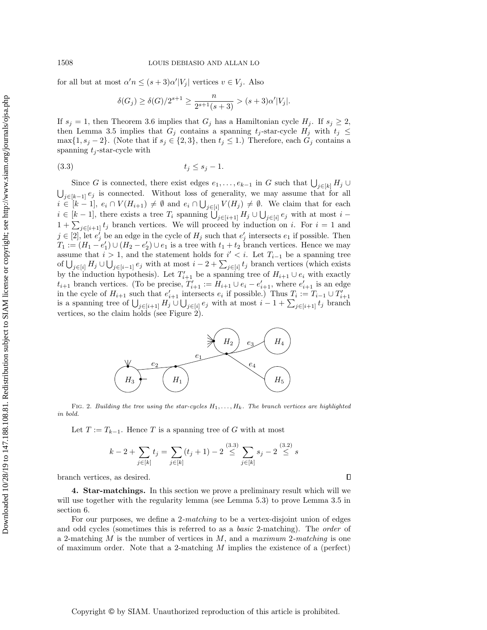for all but at most  $\alpha' n \leq (s+3)\alpha' |V_j|$  vertices  $v \in V_j$ . Also

$$
\delta(G_j) \ge \delta(G)/2^{s+1} \ge \frac{n}{2^{s+1}(s+3)} > (s+3)\alpha'|V_j|.
$$

If  $s_j = 1$ , then Theorem [3.6](#page-5-1) implies that  $G_j$  has a Hamiltonian cycle  $H_j$ . If  $s_j \geq 2$ , then Lemma [3.5](#page-5-0) implies that  $G_j$  contains a spanning  $t_j$ -star-cycle  $H_j$  with  $t_j \leq$ max $\{1, s_j - 2\}$ . (Note that if  $s_j \in \{2, 3\}$ , then  $t_j \leq 1$ .) Therefore, each  $G_j$  contains a spanning  $t_i$ -star-cycle with

<span id="page-6-2"></span>
$$
(3.3) \t\t t_j \le s_j - 1.
$$

Since G is connected, there exist edges  $e_1, \ldots, e_{k-1}$  in G such that  $\bigcup_{j \in [k]} H_j \cup$  $\bigcup_{j\in[k-1]}e_j$  is connected. Without loss of generality, we may assume that for all  $i \in [k-1], e_i \cap V(H_{i+1}) \neq \emptyset$  and  $e_i \cap \bigcup_{j \in [i]} V(H_j) \neq \emptyset$ . We claim that for each  $i \in [k-1]$ , there exists a tree  $T_i$  spanning  $\bigcup_{j \in [i+1]} H_j \cup \bigcup_{j \in [i]} e_j$  with at most  $i 1 + \sum_{j \in [i+1]} t_j$  branch vertices. We will proceed by induction on i. For  $i = 1$  and  $j \in [2]$ , let  $e'_j$  be an edge in the cycle of  $H_j$  such that  $e'_j$  intersects  $e_1$  if possible. Then  $T_1 := (H_1 - e_1') \cup (H_2 - e_2') \cup e_1$  is a tree with  $t_1 + t_2$  branch vertices. Hence we may assume that  $i > 1$ , and the statement holds for  $i' < i$ . Let  $T_{i-1}$  be a spanning tree of  $\bigcup_{j\in[i]} H_j \cup \bigcup_{j\in[i-1]} e_j$  with at most  $i-2+\sum_{j\in[i]} t_j$  branch vertices (which exists by the induction hypothesis). Let  $T'_{i+1}$  be a spanning tree of  $H_{i+1} \cup e_i$  with exactly  $t_{i+1}$  branch vertices. (To be precise,  $T'_{i+1} := H_{i+1} \cup e_i - e'_{i+1}$ , where  $e'_{i+1}$  is an edge in the cycle of  $H_{i+1}$  such that  $e'_{i+1}$  intersects  $e_i$  if possible.) Thus  $T_i := T_{i-1} \cup T'_{i+1}$ is a spanning tree of  $\bigcup_{j\in[i+1]} H_j \cup \bigcup_{j\in[i]} e_j$  with at most  $i-1+\sum_{j\in[i+1]} t_j$  branch vertices, so the claim holds (see Figure [2\)](#page-6-1).

<span id="page-6-1"></span>

FIG. 2. Building the tree using the star-cycles  $H_1, \ldots, H_k$ . The branch vertices are highlighted in bold.

Let  $T := T_{k-1}$ . Hence T is a spanning tree of G with at most

$$
k - 2 + \sum_{j \in [k]} t_j = \sum_{j \in [k]} (t_j + 1) - 2 \stackrel{(3.3)}{\leq} \sum_{j \in [k]} s_j - 2 \stackrel{(3.2)}{\leq} s
$$

 $\Box$ 

branch vertices, as desired.

<span id="page-6-0"></span>4. Star-matchings. In this section we prove a preliminary result which will we will use together with the regularity lemma (see Lemma [5.3\)](#page-9-1) to prove Lemma [3.5](#page-5-0) in section [6.](#page-13-0)

For our purposes, we define a 2-matching to be a vertex-disjoint union of edges and odd cycles (sometimes this is referred to as a basic 2-matching). The order of a 2-matching  $M$  is the number of vertices in  $M$ , and a maximum 2-matching is one of maximum order. Note that a 2-matching M implies the existence of a (perfect)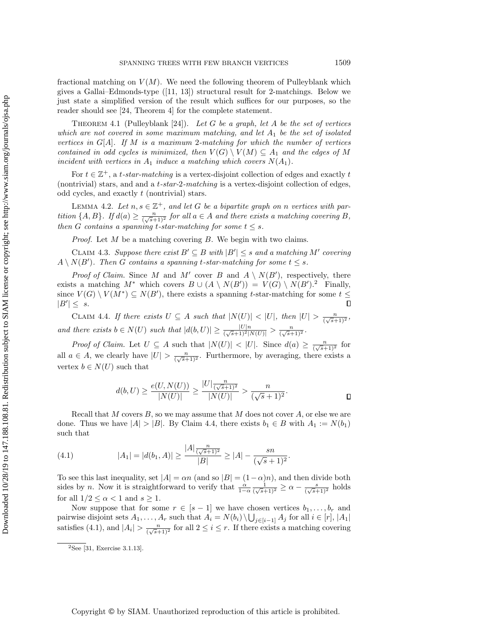fractional matching on  $V(M)$ . We need the following theorem of Pulleyblank which gives a Gallai–Edmonds-type  $([11, 13])$  $([11, 13])$  $([11, 13])$  $([11, 13])$  structural result for 2-matchings. Below we just state a simplified version of the result which suffices for our purposes, so the reader should see [\[24,](#page-18-11) Theorem 4] for the complete statement.

<span id="page-7-4"></span>THEOREM 4.1 (Pulleyblank [\[24\]](#page-18-11)). Let G be a graph, let A be the set of vertices which are not covered in some maximum matching, and let  $A_1$  be the set of isolated vertices in  $G[A]$ . If M is a maximum 2-matching for which the number of vertices contained in odd cycles is minimized, then  $V(G) \setminus V(M) \subseteq A_1$  and the edges of M incident with vertices in  $A_1$  induce a matching which covers  $N(A_1)$ .

For  $t \in \mathbb{Z}^+$ , a t-star-matching is a vertex-disjoint collection of edges and exactly t (nontrivial) stars, and and a  $t\text{-}star\text{-}2\text{-}matching$  is a vertex-disjoint collection of edges, odd cycles, and exactly t (nontrivial) stars.

<span id="page-7-5"></span>LEMMA 4.2. Let  $n, s \in \mathbb{Z}^+$ , and let G be a bipartite graph on n vertices with partition  $\{A, B\}$ . If  $d(a) \geq \frac{n}{(\sqrt{s}+1)^2}$  for all  $a \in A$  and there exists a matching covering B, then G contains a spanning t-star-matching for some  $t \leq s$ .

<span id="page-7-3"></span>*Proof.* Let  $M$  be a matching covering  $B$ . We begin with two claims.

CLAIM 4.3. Suppose there exist  $B' \subseteq B$  with  $|B'| \leq s$  and a matching M' covering  $A \setminus N(B')$ . Then G contains a spanning t-star-matching for some  $t \leq s$ .

*Proof of Claim.* Since M and M' cover B and  $A \setminus N(B')$ , respectively, there exists a matching  $M^*$  which covers  $B \cup (A \setminus N(B')) = V(G) \setminus N(B')$ .<sup>[2](#page-7-0)</sup> Finally, since  $V(G) \setminus V(M^*) \subseteq N(B')$ , there exists a spanning t-star-matching for some  $t \leq$  $|B'| \leq s.$  $\Box$ 

<span id="page-7-1"></span>CLAIM 4.4. If there exists  $U \subseteq A$  such that  $|N(U)| < |U|$ , then  $|U| > \frac{n}{(\sqrt{s}+1)^2}$ , and there exists  $b \in N(U)$  such that  $|d(b, U)| \geq \frac{|U|n}{(\sqrt{s}+1)^2|N(U)|} > \frac{n}{(\sqrt{s}+1)^2}$ .

*Proof of Claim.* Let  $U \subseteq A$  such that  $|N(U)| < |U|$ . Since  $d(a) \geq \frac{n}{(\sqrt{s}+1)^2}$  for all  $a \in A$ , we clearly have  $|U| > \frac{n}{(\sqrt{s}+1)^2}$ . Furthermore, by averaging, there exists a vertex  $b \in N(U)$  such that

$$
d(b, U) \ge \frac{e(U, N(U))}{|N(U)|} \ge \frac{|U| \frac{n}{(\sqrt{s}+1)^2}}{|N(U)|} > \frac{n}{(\sqrt{s}+1)^2}.
$$

Recall that  $M$  covers  $B$ , so we may assume that  $M$  does not cover  $A$ , or else we are done. Thus we have  $|A| > |B|$ . By Claim [4.4,](#page-7-1) there exists  $b_1 \in B$  with  $A_1 := N(b_1)$ such that

<span id="page-7-2"></span>(4.1) 
$$
|A_1| = |d(b_1, A)| \ge \frac{|A| \frac{n}{(\sqrt{s}+1)^2}}{|B|} \ge |A| - \frac{sn}{(\sqrt{s}+1)^2}.
$$

To see this last inequality, set  $|A| = \alpha n$  (and so  $|B| = (1 - \alpha)n$ ), and then divide both sides by n. Now it is straightforward to verify that  $\frac{\alpha}{1-\alpha} \frac{1}{(\sqrt{s}+1)^2} \ge \alpha - \frac{s}{(\sqrt{s}+1)^2}$  holds for all  $1/2 \leq \alpha < 1$  and  $s \geq 1$ .

Now suppose that for some  $r \in [s-1]$  we have chosen vertices  $b_1, \ldots, b_r$  and pairwise disjoint sets  $A_1, \ldots, A_r$  such that  $A_i = N(b_i) \setminus \bigcup_{j \in [i-1]} A_j$  for all  $i \in [r], |A_1|$ satisfies [\(4.1\)](#page-7-2), and  $|A_i| > \frac{n}{(\sqrt{s}+1)^2}$  for all  $2 \le i \le r$ . If there exists a matching covering

<span id="page-7-0"></span> $2$ See [\[31,](#page-18-12) Exercise 3.1.13].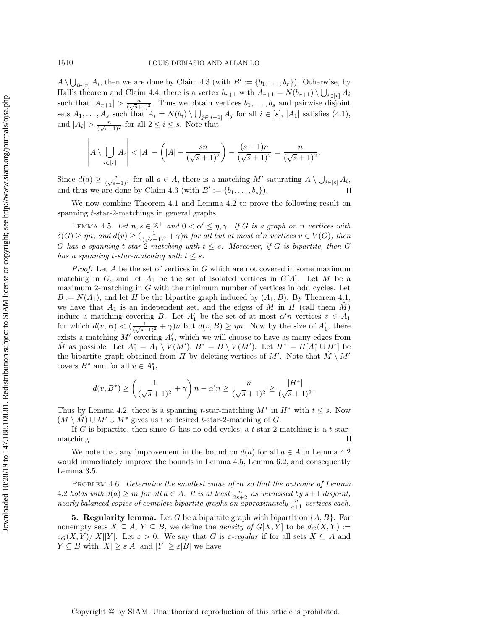$A \setminus \bigcup_{i \in [r]} A_i$ , then we are done by Claim [4.3](#page-7-3) (with  $B' := \{b_1, \ldots, b_r\}$ ). Otherwise, by Hall's theorem and Claim [4.4,](#page-7-1) there is a vertex  $b_{r+1}$  with  $A_{r+1} = N(b_{r+1}) \setminus \bigcup_{i \in [r]} A_i$ such that  $|A_{r+1}| > \frac{n}{(\sqrt{s}+1)^2}$ . Thus we obtain vertices  $b_1, \ldots, b_s$  and pairwise disjoint sets  $A_1, \ldots, A_s$  such that  $A_i = N(b_i) \setminus \bigcup_{j \in [i-1]} A_j$  for all  $i \in [s], |A_1|$  satisfies [\(4.1\)](#page-7-2), and  $|A_i| > \frac{n}{(\sqrt{s}+1)^2}$  for all  $2 \leq i \leq s$ . Note that

$$
\left| A \setminus \bigcup_{i \in [s]} A_i \right| < |A| - \left( |A| - \frac{sn}{(\sqrt{s}+1)^2} \right) - \frac{(s-1)n}{(\sqrt{s}+1)^2} = \frac{n}{(\sqrt{s}+1)^2}.
$$

Since  $d(a) \geq \frac{n}{(\sqrt{s}+1)^2}$  for all  $a \in A$ , there is a matching  $M'$  saturating  $A \setminus \bigcup_{i \in [s]} A_i$ , and thus we are done by Claim [4.3](#page-7-3) (with  $B' := \{b_1, \ldots, b_s\}$ ).  $\Box$ 

We now combine Theorem [4.1](#page-7-4) and Lemma [4.2](#page-7-5) to prove the following result on spanning t-star-2-matchings in general graphs.

<span id="page-8-1"></span>LEMMA 4.5. Let  $n, s \in \mathbb{Z}^+$  and  $0 < \alpha' \leq \eta, \gamma$ . If G is a graph on n vertices with  $\delta(G) \ge \eta n$ , and  $d(v) \ge (\frac{1}{(\sqrt{s}+1)^2} + \gamma)n$  for all but at most  $\alpha' n$  vertices  $v \in V(G)$ , then G has a spanning t-star-2-matching with  $t \leq s$ . Moreover, if G is bipartite, then G has a spanning t-star-matching with  $t \leq s$ .

*Proof.* Let  $A$  be the set of vertices in  $G$  which are not covered in some maximum matching in  $G$ , and let  $A_1$  be the set of isolated vertices in  $G[A]$ . Let M be a maximum 2-matching in  $G$  with the minimum number of vertices in odd cycles. Let  $B := N(A_1)$ , and let H be the bipartite graph induced by  $(A_1, B)$ . By Theorem [4.1,](#page-7-4) we have that  $A_1$  is an independent set, and the edges of M in H (call them  $\tilde{M}$ ) induce a matching covering B. Let  $A'_1$  be the set of at most  $\alpha' n$  vertices  $v \in A_1$ for which  $d(v, B) < (\frac{1}{(\sqrt{s}+1)^2} + \gamma)n$  but  $d(v, B) \ge \eta n$ . Now by the size of  $A'_1$ , there exists a matching  $M'$  covering  $A'_1$ , which we will choose to have as many edges from  $\hat{M}$  as possible. Let  $A_1^* = A_1 \setminus V(M')$ ,  $B^* = B \setminus V(M')$ . Let  $H^* = H[A_1^* \cup B^*]$  be the bipartite graph obtained from H by deleting vertices of M'. Note that  $\hat{M} \setminus M'$ covers  $B^*$  and for all  $v \in A_1^*$ ,

$$
d(v, B^*) \ge \left(\frac{1}{(\sqrt{s}+1)^2} + \gamma\right) n - \alpha' n \ge \frac{n}{(\sqrt{s}+1)^2} \ge \frac{|H^*|}{(\sqrt{s}+1)^2}.
$$

Thus by Lemma [4.2,](#page-7-5) there is a spanning t-star-matching  $M^*$  in  $H^*$  with  $t \leq s$ . Now  $(M \setminus \hat{M}) \cup M' \cup M^*$  gives us the desired t-star-2-matching of G.

If G is bipartite, then since G has no odd cycles, a t-star-2-matching is a t-starmatching.  $\Box$ 

We note that any improvement in the bound on  $d(a)$  for all  $a \in A$  in Lemma [4.2](#page-7-5) would immediately improve the bounds in Lemma [4.5,](#page-8-1) Lemma [6.2,](#page-13-1) and consequently Lemma [3.5.](#page-5-0)

PROBLEM 4.6. Determine the smallest value of m so that the outcome of Lemma [4.2](#page-7-5) holds with  $d(a) \ge m$  for all  $a \in A$ . It is at least  $\frac{n}{2s+2}$  as witnessed by  $s+1$  disjoint, nearly balanced copies of complete bipartite graphs on approximately  $\frac{n}{s+1}$  vertices each.

<span id="page-8-0"></span>**5. Regularity lemma.** Let G be a bipartite graph with bipartition  $\{A, B\}$ . For nonempty sets  $X \subseteq A, Y \subseteq B$ , we define the *density of*  $G[X, Y]$  to be  $d_G(X, Y) :=$  $e_G(X, Y)/|X||Y|$ . Let  $\varepsilon > 0$ . We say that G is  $\varepsilon$ -regular if for all sets  $X \subseteq A$  and  $Y \subseteq B$  with  $|X| \geq \varepsilon |A|$  and  $|Y| \geq \varepsilon |B|$  we have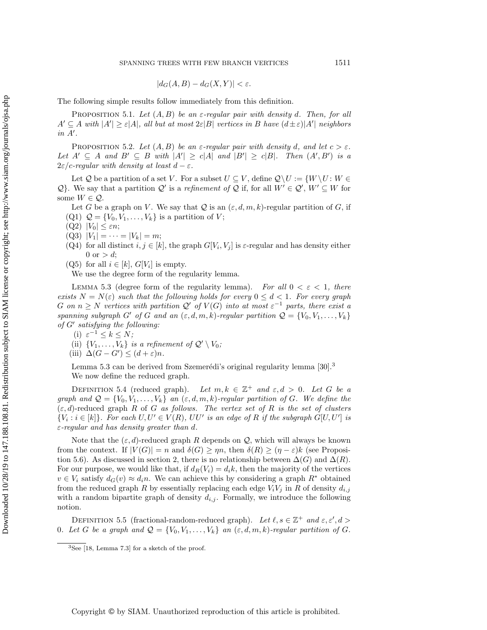$$
|d_G(A, B) - d_G(X, Y)| < \varepsilon.
$$

The following simple results follow immediately from this definition.

<span id="page-9-3"></span>PROPOSITION 5.1. Let  $(A, B)$  be an  $\varepsilon$ -regular pair with density d. Then, for all  $A' \subseteq A$  with  $|A'| \geq \varepsilon |A|$ , all but at most  $2\varepsilon |B|$  vertices in B have  $(d \pm \varepsilon)|A'|$  neighbors  $in A'.$ 

<span id="page-9-4"></span>PROPOSITION 5.2. Let  $(A, B)$  be an  $\varepsilon$ -regular pair with density d, and let  $c > \varepsilon$ . Let  $A' \subseteq A$  and  $B' \subseteq B$  with  $|A'| \ge c|A|$  and  $|B'| \ge c|B|$ . Then  $(A', B')$  is a  $2\varepsilon/c$ -regular with density at least  $d - \varepsilon$ .

Let Q be a partition of a set V. For a subset  $U \subseteq V$ , define  $\mathcal{Q} \backslash U := \{W \backslash U : W \in$ Q}. We say that a partition Q' is a refinement of Q if, for all  $W' \in \mathcal{Q}'$ ,  $W' \subseteq W$  for some  $W \in \mathcal{Q}$ .

Let G be a graph on V. We say that Q is an  $(\varepsilon, d, m, k)$ -regular partition of G, if  $(Q1)$   $Q = \{V_0, V_1, \ldots, V_k\}$  is a partition of V;

- $(Q2)$   $|V_0| \leq \varepsilon n;$
- 
- $(Q3)$   $|V_1| = \cdots = |V_k| = m;$
- (Q4) for all distinct  $i, j \in [k]$ , the graph  $G[V_i, V_j]$  is  $\varepsilon$ -regular and has density either 0 or  $> d$ ;
- $(Q5)$  for all  $i \in [k], G[V_i]$  is empty.

We use the degree form of the regularity lemma.

<span id="page-9-1"></span>LEMMA 5.3 (degree form of the regularity lemma). For all  $0 < \varepsilon < 1$ , there exists  $N = N(\varepsilon)$  such that the following holds for every  $0 \leq d < 1$ . For every graph G on  $n \geq N$  vertices with partition  $\mathcal{Q}'$  of  $V(G)$  into at most  $\varepsilon^{-1}$  parts, there exist a spanning subgraph G' of G and an  $(\varepsilon, d, m, k)$ -regular partition  $\mathcal{Q} = \{V_0, V_1, \ldots, V_k\}$ of G' satisfying the following:

- (i)  $\varepsilon^{-1} \leq k \leq N;$
- (ii)  $\{V_1, \ldots, V_k\}$  is a refinement of  $\mathcal{Q}' \setminus V_0$ ;
- (iii)  $\Delta(G G') \leq (d + \varepsilon)n$ .

Lemma [5.3](#page-9-1) can be derived from Szemerédi's original regularity lemma [\[30\]](#page-18-9).<sup>[3](#page-9-2)</sup> We now define the reduced graph.

DEFINITION 5.4 (reduced graph). Let  $m, k \in \mathbb{Z}^+$  and  $\varepsilon, d > 0$ . Let G be a graph and  $\mathcal{Q} = \{V_0, V_1, \ldots, V_k\}$  an  $(\varepsilon, d, m, k)$ -regular partition of G. We define the  $(\varepsilon, d)$ -reduced graph R of G as follows. The vertex set of R is the set of clusters  ${V_i : i \in [k]}$ . For each  $U, U' \in V(R)$ ,  $UU'$  is an edge of R if the subgraph  $G[U, U']$  is  $\varepsilon$ -regular and has density greater than d.

Note that the  $(\varepsilon, d)$ -reduced graph R depends on Q, which will always be known from the context. If  $|V(G)| = n$  and  $\delta(G) \ge \eta n$ , then  $\delta(R) \ge (\eta - \varepsilon)k$  (see Proposi-tion [5.6\)](#page-10-0). As discussed in section [2,](#page-3-0) there is no relationship between  $\Delta(G)$  and  $\Delta(R)$ . For our purpose, we would like that, if  $d_R(V_i) = d_i k$ , then the majority of the vertices  $v \in V_i$  satisfy  $d_G(v) \approx d_i n$ . We can achieve this by considering a graph  $R^*$  obtained from the reduced graph R by essentially replacing each edge  $V_iV_j$  in R of density  $d_{i,j}$ with a random bipartite graph of density  $d_{i,j}$ . Formally, we introduce the following notion.

<span id="page-9-0"></span>DEFINITION 5.5 (fractional-random-reduced graph). Let  $\ell, s \in \mathbb{Z}^+$  and  $\varepsilon, \varepsilon', d >$ 0. Let G be a graph and  $\mathcal{Q} = \{V_0, V_1, \ldots, V_k\}$  an  $(\varepsilon, d, m, k)$ -regular partition of G.

<span id="page-9-2"></span><sup>3</sup>See [\[18,](#page-17-16) Lemma 7.3] for a sketch of the proof.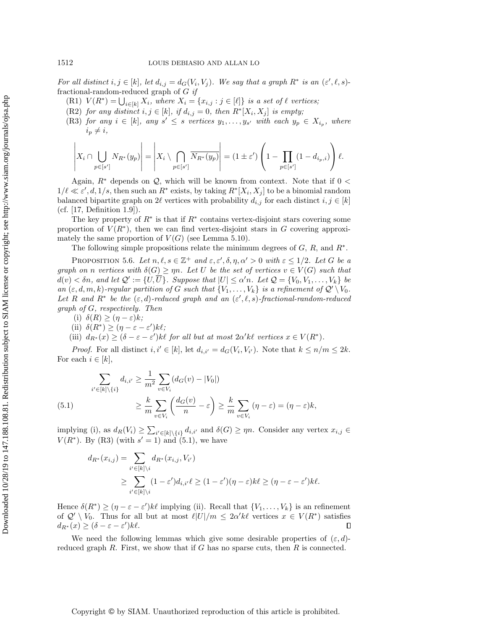For all distinct  $i, j \in [k]$ , let  $d_{i,j} = d_G(V_i, V_j)$ . We say that a graph  $R^*$  is an  $(\varepsilon', \ell, s)$ fractional-random-reduced graph of  $G$  if

- (R1)  $V(R^*) = \bigcup_{i \in [k]} X_i$ , where  $X_i = \{x_{i,j} : j \in [\ell]\}$  is a set of  $\ell$  vertices;
- (R2) for any distinct  $i, j \in [k]$ , if  $d_{i,j} = 0$ , then  $R^*[X_i, X_j]$  is empty;
- <span id="page-10-1"></span>(R3) for any  $i \in [k]$ , any  $s' \leq s$  vertices  $y_1, \ldots, y_{s'}$  with each  $y_p \in X_{i_p}$ , where  $i_p \neq i,$

$$
\left| X_i \cap \bigcup_{p \in [s']} N_{R^*}(y_p) \right| = \left| X_i \setminus \bigcap_{p \in [s']} \overline{N_{R^*}(y_p)} \right| = (1 \pm \varepsilon') \left( 1 - \prod_{p \in [s']} (1 - d_{i_p, i}) \right) \ell.
$$

Again,  $R^*$  depends on Q, which will be known from context. Note that if 0 <  $1/\ell \ll \varepsilon', d, 1/s$ , then such an  $R^*$  exists, by taking  $R^*[X_i, X_j]$  to be a binomial random balanced bipartite graph on  $2\ell$  vertices with probability  $d_{i,j}$  for each distinct  $i, j \in [k]$ (cf. [\[17,](#page-17-17) Definition 1.9]).

The key property of  $R^*$  is that if  $R^*$  contains vertex-disjoint stars covering some proportion of  $V(R^*)$ , then we can find vertex-disjoint stars in G covering approximately the same proportion of  $V(G)$  (see Lemma [5.10\)](#page-11-0).

The following simple propositions relate the minimum degrees of  $G, R$ , and  $R^*$ .

<span id="page-10-0"></span>PROPOSITION 5.6. Let  $n, \ell, s \in \mathbb{Z}^+$  and  $\varepsilon, \varepsilon', \delta, \eta, \alpha' > 0$  with  $\varepsilon \leq 1/2$ . Let G be a graph on n vertices with  $\delta(G) \ge \eta n$ . Let U be the set of vertices  $v \in V(G)$  such that  $d(v) < \delta n$ , and let  $\mathcal{Q}' := \{U, \overline{U}\}$ . Suppose that  $|U| \leq \alpha' n$ . Let  $\mathcal{Q} = \{V_0, V_1, \ldots, V_k\}$  be an  $(\varepsilon, d, m, k)$ -regular partition of G such that  $\{V_1, \ldots, V_k\}$  is a refinement of  $\mathcal{Q}' \setminus V_0$ . Let R and R<sup>\*</sup> be the  $(\varepsilon, d)$ -reduced graph and an  $(\varepsilon', \ell, s)$ -fractional-random-reduced graph of G, respectively. Then

- (i)  $\delta(R) \geq (\eta \varepsilon)k;$
- (ii)  $\delta(R^*) \geq (\eta \varepsilon \varepsilon')k\ell;$
- (iii)  $d_{R^*}(x) \geq (\delta \varepsilon \varepsilon')k\ell$  for all but at most  $2\alpha' k\ell$  vertices  $x \in V(R^*)$ .

*Proof.* For all distinct  $i, i' \in [k]$ , let  $d_{i,i'} = d_G(V_i, V_{i'})$ . Note that  $k \leq n/m \leq 2k$ . For each  $i \in [k]$ ,

<span id="page-10-2"></span>(5.1) 
$$
\sum_{i' \in [k] \setminus \{i\}} d_{i,i'} \ge \frac{1}{m^2} \sum_{v \in V_i} (d_G(v) - |V_0|)
$$

$$
\ge \frac{k}{m} \sum_{v \in V_i} \left( \frac{d_G(v)}{n} - \varepsilon \right) \ge \frac{k}{m} \sum_{v \in V_i} (\eta - \varepsilon) = (\eta - \varepsilon)k,
$$

implying (i), as  $d_R(V_i) \geq \sum_{i' \in [k] \setminus \{i\}} d_{i,i'}$  and  $\delta(G) \geq \eta n$ . Consider any vertex  $x_{i,j} \in$  $V(R^*)$ . By [\(R3\)](#page-10-1) (with  $s' = 1$ ) and [\(5.1\)](#page-10-2), we have

$$
d_{R^*}(x_{i,j}) = \sum_{i' \in [k] \setminus i} d_{R^*}(x_{i,j}, V_{i'})
$$
  
\n
$$
\geq \sum_{i' \in [k] \setminus i} (1 - \varepsilon') d_{i,i'} \ell \geq (1 - \varepsilon')(\eta - \varepsilon) k \ell \geq (\eta - \varepsilon - \varepsilon') k \ell.
$$

Hence  $\delta(R^*) \geq (\eta - \varepsilon - \varepsilon')k\ell$  implying (ii). Recall that  $\{V_1, \ldots, V_k\}$  is an refinement of  $\mathcal{Q}' \setminus V_0$ . Thus for all but at most  $\ell |U|/m \leq 2\alpha' k\ell$  vertices  $x \in V(R^*)$  satisfies  $d_{R^*}(x) \geq (\delta - \varepsilon - \varepsilon')k\ell.$  $\Box$ 

<span id="page-10-3"></span>We need the following lemmas which give some desirable properties of  $(\varepsilon, d)$ reduced graph  $R$ . First, we show that if  $G$  has no sparse cuts, then  $R$  is connected.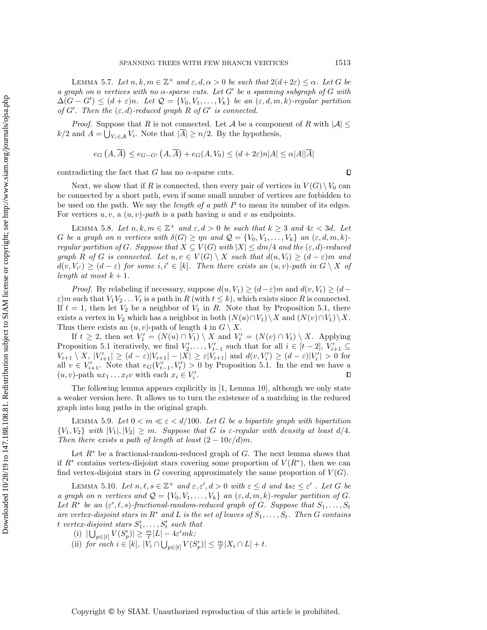LEMMA 5.7. Let  $n, k, m \in \mathbb{Z}^+$  and  $\varepsilon, d, \alpha > 0$  be such that  $2(d+2\varepsilon) \leq \alpha$ . Let G be a graph on n vertices with no  $\alpha$ -sparse cuts. Let G' be a spanning subgraph of G with  $\Delta(G - G') \leq (d + \varepsilon)n$ . Let  $\mathcal{Q} = \{V_0, V_1, \ldots, V_k\}$  be an  $(\varepsilon, d, m, k)$ -regular partition of G'. Then the  $(\varepsilon, d)$ -reduced graph R of G' is connected.

*Proof.* Suppose that R is not connected. Let A be a component of R with  $|A| \le$  $k/2$  and  $A = \bigcup_{V_i \in \mathcal{A}} V_i$ . Note that  $|\overline{A}| \geq n/2$ . By the hypothesis,

$$
e_G(A, \overline{A}) \le e_{G-G'}(A, \overline{A}) + e_G(A, V_0) \le (d + 2\varepsilon)n|A| \le \alpha|A||\overline{A}|
$$

contradicting the fact that G has no  $\alpha$ -sparse cuts.

Next, we show that if R is connected, then every pair of vertices in  $V(G) \setminus V_0$  can be connected by a short path, even if some small number of vertices are forbidden to be used on the path. We say the length of a path P to mean its number of its edges. For vertices  $u, v, a (u, v)$ -path is a path having u and v as endpoints.

<span id="page-11-2"></span>LEMMA 5.8. Let  $n, k, m \in \mathbb{Z}^+$  and  $\varepsilon, d > 0$  be such that  $k \geq 3$  and  $4\varepsilon < 3d$ . Let G be a graph on n vertices with  $\delta(G) \ge \eta n$  and  $\mathcal{Q} = \{V_0, V_1, \ldots, V_k\}$  an  $(\varepsilon, d, m, k)$ regular partition of G. Suppose that  $X \subseteq V(G)$  with  $|X| \le dm/4$  and the  $(\varepsilon, d)$ -reduced graph R of G is connected. Let  $u, v \in V(G) \setminus X$  such that  $d(u, V_i) \geq (d - \varepsilon)m$  and  $d(v, V_{i'}) \geq (d - \varepsilon)$  for some i,  $i' \in [k]$ . Then there exists an  $(u, v)$ -path in  $G \setminus X$  of length at most  $k + 1$ .

*Proof.* By relabeling if necessary, suppose  $d(u, V_1) \geq (d - \varepsilon)m$  and  $d(v, V_t) \geq (d - \varepsilon)m$  $\varepsilon$ )*m* such that  $V_1V_2 \ldots V_t$  is a path in R (with  $t \leq k$ ), which exists since R is connected. If  $t = 1$ , then let  $V_2$  be a neighbor of  $V_1$  in R. Note that by Proposition [5.1,](#page-9-3) there exists a vertex in  $V_2$  which has a neighbor in both  $(N(u) \cap V_1)\setminus X$  and  $(N(v) \cap V_1)\setminus X$ . Thus there exists an  $(u, v)$ -path of length 4 in  $G \setminus X$ .

If  $t \geq 2$ , then set  $V'_1 = (N(u) \cap V_1) \setminus X$  and  $V'_t = (N(v) \cap V_t) \setminus X$ . Applying Proposition [5.1](#page-9-3) iteratively, we find  $V'_2, \ldots, V'_{t-1}$  such that for all  $i \in [t-2], V'_{i+1} \subseteq$  $V_{i+1} \setminus X$ ,  $|V'_{i+1}| \geq (d-\varepsilon)|V_{i+1}| - |X| \geq \varepsilon|V_{i+1}|$  and  $d(v, V'_{i}) \geq (d-\varepsilon)|V'_{i}| > 0$  for all  $v \in V'_{i+1}$ . Note that  $e_G(V'_{t-1}, V'_{t}) > 0$  by Proposition [5.1.](#page-9-3) In the end we have a  $(u, v)$ -path  $ux_1 \ldots x_t v$  with each  $x_i \in V'_i$ .  $\Box$ 

The following lemma appears explicitly in [\[1,](#page-17-18) Lemma 10], although we only state a weaker version here. It allows us to turn the existence of a matching in the reduced graph into long paths in the original graph.

<span id="page-11-1"></span>LEMMA 5.9. Let  $0 < m \ll \varepsilon < d/100$ . Let G be a bipartite graph with bipartition  $\{V_1, V_2\}$  with  $|V_1|, |V_2| \geq m$ . Suppose that G is  $\varepsilon$ -regular with density at least  $d/4$ . Then there exists a path of length at least  $(2-10\varepsilon/d)m$ .

Let  $R^*$  be a fractional-random-reduced graph of G. The next lemma shows that if  $R^*$  contains vertex-disjoint stars covering some proportion of  $V(R^*)$ , then we can find vertex-disjoint stars in G covering approximately the same proportion of  $V(G)$ .

<span id="page-11-0"></span>LEMMA 5.10. Let  $n, \ell, s \in \mathbb{Z}^+$  and  $\varepsilon, \varepsilon', d > 0$  with  $\varepsilon \leq d$  and  $4s \varepsilon \leq \varepsilon'$ . Let G be a graph on n vertices and  $\mathcal{Q} = \{V_0, V_1, \ldots, V_k\}$  an  $(\varepsilon, d, m, k)$ -regular partition of G. Let  $R^*$  be an  $(\varepsilon', \ell, s)$ -fractional-random-reduced graph of G. Suppose that  $S_1, \ldots, S_t$ are vertex-disjoint stars in  $R^*$  and L is the set of leaves of  $S_1, \ldots, S_t$ . Then G contains t vertex-disjoint stars  $S'_1, \ldots, S'_t$  such that

- (i)  $|\bigcup_{p\in[t]} V(S'_p)| \geq \frac{m}{\ell} |L| 4\varepsilon' m k;$
- (ii) for each  $i \in [k]$ ,  $|V_i \cap \bigcup_{p \in [t]} V(S'_p)| \leq \frac{m}{\ell} |X_i \cap L| + t$ .

 $\Box$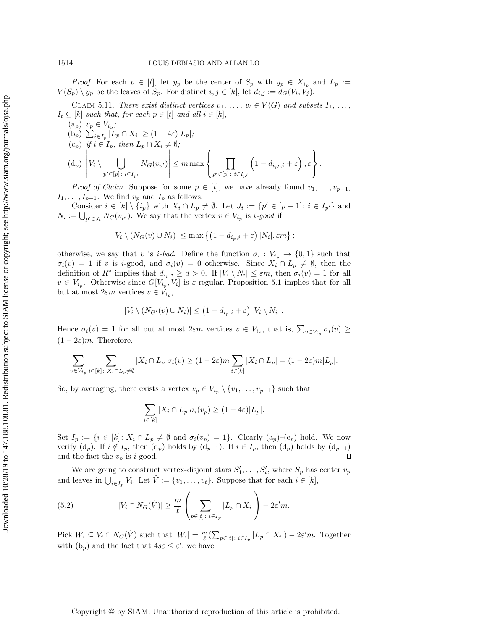*Proof.* For each  $p \in [t]$ , let  $y_p$  be the center of  $S_p$  with  $y_p \in X_{i_p}$  and  $L_p :=$  $V(S_p) \setminus y_p$  be the leaves of  $S_p$ . For distinct  $i, j \in [k]$ , let  $d_{i,j} := d_G(V_i, V_j)$ .

CLAIM 5.11. There exist distinct vertices  $v_1, \ldots, v_t \in V(G)$  and subsets  $I_1, \ldots,$  $I_t \subseteq [k]$  such that, for each  $p \in [t]$  and all  $i \in [k]$ ,

<span id="page-12-3"></span><span id="page-12-2"></span><span id="page-12-1"></span><span id="page-12-0"></span>
$$
(a_p) \ v_p \in V_{i_p};
$$
  
\n
$$
(b_p) \ \sum_{i \in I_p} |L_p \cap X_i| \ge (1 - 4\varepsilon)|L_p|;
$$
  
\n
$$
(c_p) \ \text{if} \ i \in I_p, \ \text{then} \ L_p \cap X_i \neq \emptyset;
$$
  
\n
$$
(d_p) \ \left| V_i \setminus \bigcup_{p' \in [p] \colon i \in I_{p'}} N_G(v_{p'}) \right| \le m \max \left\{ \prod_{p' \in [p] \colon i \in I_{p'}} \left( 1 - d_{i_{p'},i} + \varepsilon \right), \varepsilon \right\}.
$$

*Proof of Claim.* Suppose for some  $p \in [t]$ , we have already found  $v_1, \ldots, v_{p-1}$ ,  $I_1, \ldots, I_{p-1}$ . We find  $v_p$  and  $I_p$  as follows.

Consider  $i \in [k] \setminus \{i_p\}$  with  $X_i \cap L_p \neq \emptyset$ . Let  $J_i := \{p' \in [p-1]: i \in I_{p'}\}$  and  $N_i := \bigcup_{p' \in J_i} N_G(v_{p'})$ . We say that the vertex  $v \in V_{i_p}$  is *i-good* if

$$
|V_i \setminus (N_G(v) \cup N_i)| \le \max\left\{ \left(1 - d_{i_p,i} + \varepsilon\right) |N_i|, \varepsilon m \right\};
$$

otherwise, we say that v is *i*-bad. Define the function  $\sigma_i: V_{i_p} \to \{0,1\}$  such that  $\sigma_i(v) = 1$  if v is i-good, and  $\sigma_i(v) = 0$  otherwise. Since  $X_i \cap L_p \neq \emptyset$ , then the definition of  $R^*$  implies that  $d_{i_p,i} \geq d > 0$ . If  $|V_i \setminus N_i| \leq \varepsilon m$ , then  $\sigma_i(v) = 1$  for all  $v \in V_{i_p}$ . Otherwise since  $G[V_{i_p}, V_i]$  is  $\varepsilon$ -regular, Proposition [5.1](#page-9-3) implies that for all but at most  $2\varepsilon m$  vertices  $v \in V_{i_p}$ ,

$$
|V_i \setminus (N_{G'}(v) \cup N_i)| \le (1 - d_{i_p,i} + \varepsilon) |V_i \setminus N_i|.
$$

Hence  $\sigma_i(v) = 1$  for all but at most  $2\varepsilon m$  vertices  $v \in V_{i_p}$ , that is,  $\sum_{v \in V_{i_p}} \sigma_i(v) \ge$  $(1-2\varepsilon)m$ . Therefore,

$$
\sum_{v\in V_{i_p}}\sum_{i\in [k]\colon X_i\cap L_p\neq \emptyset}|X_i\cap L_p|\sigma_i(v)\geq (1-2\varepsilon)m\sum_{i\in [k]}|X_i\cap L_p|=(1-2\varepsilon)m|L_p|.
$$

So, by averaging, there exists a vertex  $v_p \in V_{i_p} \setminus \{v_1, \ldots, v_{p-1}\}\$  such that

$$
\sum_{i \in [k]} |X_i \cap L_p | \sigma_i(v_p) \ge (1 - 4\varepsilon)|L_p|.
$$

Set  $I_p := \{i \in [k]: X_i \cap L_p \neq \emptyset \text{ and } \sigma_i(v_p) = 1\}.$  Clearly  $(a_p)$ – $(c_p)$  hold. We now verify  $(d_p)$ . If  $i \notin I_p$ , then  $(d_p)$  holds by  $(d_{p-1})$ . If  $i \in I_p$ , then  $(d_p)$  holds by  $(d_{p-1})$ and the fact the  $v_p$  is *i*-good.  $\Box$ 

We are going to construct vertex-disjoint stars  $S'_1, \ldots, S'_t$ , where  $S_p$  has center  $v_p$ and leaves in  $\bigcup_{i\in I_p} V_i$ . Let  $\hat{V} := \{v_1, \ldots, v_t\}$ . Suppose that for each  $i \in [k]$ ,

<span id="page-12-4"></span>(5.2) 
$$
|V_i \cap N_G(\hat{V})| \geq \frac{m}{\ell} \left( \sum_{p \in [t]: \ i \in I_p} |L_p \cap X_i| \right) - 2\varepsilon' m.
$$

Pick  $W_i \subseteq V_i \cap N_G(\hat{V})$  such that  $|W_i| = \frac{m}{\ell} (\sum_{p \in [t]} \sum_{i \in I_p} |L_p \cap X_i|) - 2\varepsilon' m$ . Together with  $(b_p)$  and the fact that  $4s\varepsilon \leq \varepsilon'$ , we have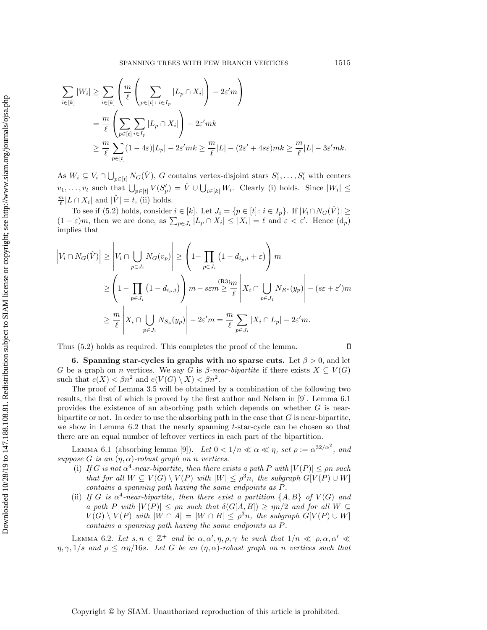$$
\sum_{i \in [k]} |W_i| \ge \sum_{i \in [k]} \left( \frac{m}{\ell} \left( \sum_{p \in [t] \colon i \in I_p} |L_p \cap X_i| \right) - 2\varepsilon' m \right)
$$
  
= 
$$
\frac{m}{\ell} \left( \sum_{p \in [t]} \sum_{i \in I_p} |L_p \cap X_i| \right) - 2\varepsilon' mk
$$
  

$$
\ge \frac{m}{\ell} \sum_{p \in [t]} (1 - 4\varepsilon)|L_p| - 2\varepsilon' mk \ge \frac{m}{\ell}|L| - (2\varepsilon' + 4s\varepsilon)mk \ge \frac{m}{\ell}|L| - 3\varepsilon' mk.
$$

As  $W_i \subseteq V_i \cap \bigcup_{p \in [t]} N_G(\hat{V}), G$  contains vertex-disjoint stars  $S'_1, \ldots, S'_t$  with centers  $v_1, \ldots, v_t$  such that  $\bigcup_{p \in [t]} V(S'_p) = \hat{V} \cup \bigcup_{i \in [k]} W_i$ . Clearly (i) holds. Since  $|W_i| \leq$  $\frac{m}{\ell}|L \cap X_i|$  and  $|\hat{V}| = t$ , (ii) holds.

To see if [\(5.2\)](#page-12-4) holds, consider  $i \in [k]$ . Let  $J_i = \{p \in [t] : i \in I_p\}$ . If  $|V_i \cap N_G(\hat{V})| \ge$  $(1-\varepsilon)m$ , then we are done, as  $\sum_{p\in J_i}|L_p\cap X_i|\leq |X_i|=\ell$  and  $\varepsilon<\varepsilon'$ . Hence  $(d_p)$ implies that

$$
\left| V_i \cap N_G(\hat{V}) \right| \ge \left| V_i \cap \bigcup_{p \in J_i} N_G(v_p) \right| \ge \left( 1 - \prod_{p \in J_i} \left( 1 - d_{i_p, i} + \varepsilon \right) \right) m
$$
  

$$
\ge \left( 1 - \prod_{p \in J_i} \left( 1 - d_{i_p, i} \right) \right) m - s \varepsilon m \ge \frac{\left( R^3 \right) m}{\ell} \left| X_i \cap \bigcup_{p \in J_i} N_{R^*}(y_p) \right| - (s \varepsilon + \varepsilon') m
$$
  

$$
\ge \frac{m}{\ell} \left| X_i \cap \bigcup_{p \in J_i} N_{S_p}(y_p) \right| - 2\varepsilon' m = \frac{m}{\ell} \sum_{p \in J_i} |X_i \cap L_p| - 2\varepsilon' m.
$$

Thus [\(5.2\)](#page-12-4) holds as required. This completes the proof of the lemma.

<span id="page-13-0"></span>6. Spanning star-cycles in graphs with no sparse cuts. Let  $\beta > 0$ , and let G be a graph on n vertices. We say G is  $\beta$ -near-bipartite if there exists  $X \subseteq V(G)$ such that  $e(X) < \beta n^2$  and  $e(V(G) \setminus X) < \beta n^2$ .

The proof of Lemma [3.5](#page-5-0) will be obtained by a combination of the following two results, the first of which is proved by the first author and Nelsen in [\[9\]](#page-17-12). Lemma [6.1](#page-13-2) provides the existence of an absorbing path which depends on whether  $G$  is nearbipartite or not. In order to use the absorbing path in the case that  $G$  is near-bipartite, we show in Lemma  $6.2$  that the nearly spanning  $t$ -star-cycle can be chosen so that there are an equal number of leftover vertices in each part of the bipartition.

<span id="page-13-2"></span>LEMMA 6.1 (absorbing lemma [\[9\]](#page-17-12)). Let  $0 < 1/n \ll \alpha \ll \eta$ , set  $\rho := \alpha^{32/\alpha^2}$ , and suppose G is an  $(\eta, \alpha)$ -robust graph on n vertices.

- (i) If G is not  $\alpha^4$ -near-bipartite, then there exists a path P with  $|V(P)| \le \rho n$  such that for all  $W \subseteq V(G) \setminus V(P)$  with  $|W| \leq \rho^3 n$ , the subgraph  $G[V(P) \cup W]$ contains a spanning path having the same endpoints as P.
- (ii) If G is  $\alpha^4$ -near-bipartite, then there exist a partition  $\{A, B\}$  of  $V(G)$  and a path P with  $|V(P)| \le \rho n$  such that  $\delta(G[A, B]) \ge \eta n/2$  and for all  $W \subseteq$  $V(G) \setminus V(P)$  with  $|W \cap A| = |W \cap B| \leq \rho^3 n$ , the subgraph  $G[V(P) \cup W]$ contains a spanning path having the same endpoints as P.

<span id="page-13-1"></span>LEMMA 6.2. Let  $s, n \in \mathbb{Z}^+$  and be  $\alpha, \alpha', \eta, \rho, \gamma$  be such that  $1/n \ll \rho, \alpha, \alpha' \ll \gamma$  $\eta, \gamma, 1/s$  and  $\rho \leq \alpha \eta/16s$ . Let G be an  $(\eta, \alpha)$ -robust graph on n vertices such that

 $\Box$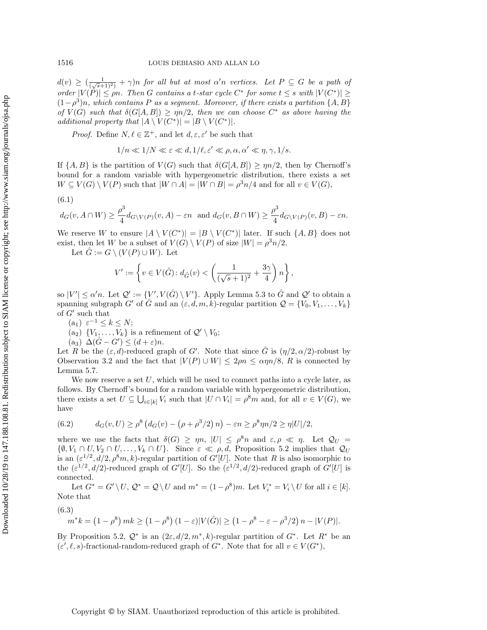$d(v) \geq (\frac{1}{(\sqrt{s}+1)^2)} + \gamma)n$  for all but at most  $\alpha'n$  vertices. Let  $P \subseteq G$  be a path of order  $|V(P)| \le \rho n$ . Then G contains a t-star cycle  $C^*$  for some  $t \le s$  with  $|V(C^*)| \ge$  $(1-\rho^3)n$ , which contains P as a segment. Moreover, if there exists a partition  $\{A, B\}$ of  $V(G)$  such that  $\delta(G[A, B]) \geq \eta n/2$ , then we can choose  $C^*$  as above having the additional property that  $|A \setminus V(C^*)| = |B \setminus V(C^*)|$ .

*Proof.* Define  $N, \ell \in \mathbb{Z}^+$ , and let  $d, \varepsilon, \varepsilon'$  be such that

$$
1/n \ll 1/N \ll \varepsilon \ll d, 1/\ell, \varepsilon' \ll \rho, \alpha, \alpha' \ll \eta, \gamma, 1/s.
$$

If  $\{A, B\}$  is the partition of  $V(G)$  such that  $\delta(G[A, B]) \ge \eta n/2$ , then by Chernoff's bound for a random variable with hypergeometric distribution, there exists a set  $W \subseteq V(G) \setminus V(P)$  such that  $|W \cap A| = |W \cap B| = \rho^3 n/4$  and for all  $v \in V(G)$ ,

<span id="page-14-4"></span>(6.1)  
\n
$$
d_G(v, A \cap W) \ge \frac{\rho^3}{4} d_{G \setminus V(P)}(v, A) - \varepsilon n \text{ and } d_G(v, B \cap W) \ge \frac{\rho^3}{4} d_{G \setminus V(P)}(v, B) - \varepsilon n.
$$

We reserve W to ensure  $|A \setminus V(C^*)| = |B \setminus V(C^*)|$  later. If such  $\{A, B\}$  does not exist, then let W be a subset of  $V(G) \setminus V(P)$  of size  $|W| = \rho^3 n/2$ .

Let  $\hat{G} := G \setminus (V(P) \cup W)$ . Let

$$
V':=\left\{v\in V(\hat G)\colon d_{\hat G}(v)<\left(\frac{1}{(\sqrt s+1)^2}+\frac{3\gamma}{4}\right)n\right\},
$$

so  $|V'| \le \alpha'n$ . Let  $\mathcal{Q}' := \{V', V(\hat{G}) \setminus V'\}$ . Apply Lemma [5.3](#page-9-1) to  $\hat{G}$  and  $\mathcal{Q}'$  to obtain a spanning subgraph G' of  $\hat{G}$  and an  $(\varepsilon, d, m, k)$ -regular partition  $\mathcal{Q} = \{V_0, V_1, \ldots, V_k\}$ of  $G'$  such that

<span id="page-14-1"></span>(a<sub>1</sub>)  $\varepsilon^{-1} \leq k \leq N;$ 

(a<sub>2</sub>) 
$$
\{V_1, \ldots, V_k\}
$$
 is a refinement of  $\mathcal{Q}' \setminus V_0$ ;

 $(a_3) \Delta(\hat{G} - G') \leq (d + \varepsilon)n.$ 

<span id="page-14-0"></span>Let R be the  $(\varepsilon, d)$ -reduced graph of G'. Note that since  $\hat{G}$  is  $(\eta/2, \alpha/2)$ -robust by Observation [3.2](#page-4-5) and the fact that  $|V(P) \cup W| \leq 2\rho n \leq \alpha \eta n/8$ , R is connected by Lemma [5.7.](#page-10-3)

We now reserve a set  $U$ , which will be used to connect paths into a cycle later, as follows. By Chernoff's bound for a random variable with hypergeometric distribution, there exists a set  $U \subseteq \bigcup_{i \in [k]} V_i$  such that  $|U \cap V_i| = \rho^8 m$  and, for all  $v \in V(G)$ , we have

<span id="page-14-3"></span>(6.2) 
$$
d_G(v, U) \ge \rho^8 \left( d_G(v) - \left( \rho + \rho^3/2 \right) n \right) - \varepsilon n \ge \rho^8 \eta n/2 \ge \eta |U|/2,
$$

where we use the facts that  $\delta(G) \ge \eta n$ ,  $|U| \le \rho^8 n$  and  $\varepsilon, \rho \ll \eta$ . Let  $\mathcal{Q}_U$  $\{\emptyset, V_1 \cap U, V_2 \cap U, \ldots, V_k \cap U\}$ . Since  $\varepsilon \ll \rho, d$ , Proposition [5.2](#page-9-4) implies that  $\mathcal{Q}_U$ is an  $(\varepsilon^{1/2}, d/2, \rho^8 m, k)$ -regular partition of  $G'[U]$ . Note that R is also isomorphic to the  $(\varepsilon^{1/2}, d/2)$ -reduced graph of G'[U]. So the  $(\varepsilon^{1/2}, d/2)$ -reduced graph of G'[U] is connected.

Let  $G^* = G' \setminus U$ ,  $\mathcal{Q}^* = \mathcal{Q} \setminus U$  and  $m^* = (1 - \rho^8)m$ . Let  $V_i^* = V_i \setminus U$  for all  $i \in [k]$ . Note that

<span id="page-14-2"></span>(6.3)

$$
m^*k = (1 - \rho^8) mk \ge (1 - \rho^8) (1 - \varepsilon)|V(\hat{G})| \ge (1 - \rho^8 - \varepsilon - \rho^3/2) n - |V(P)|.
$$

By Proposition [5.2,](#page-9-4)  $\mathcal{Q}^*$  is an  $(2\varepsilon, d/2, m^*, k)$ -regular partition of  $G^*$ . Let  $R^*$  be an  $(\varepsilon', \ell, s)$ -fractional-random-reduced graph of  $G^*$ . Note that for all  $v \in V(G^*)$ ,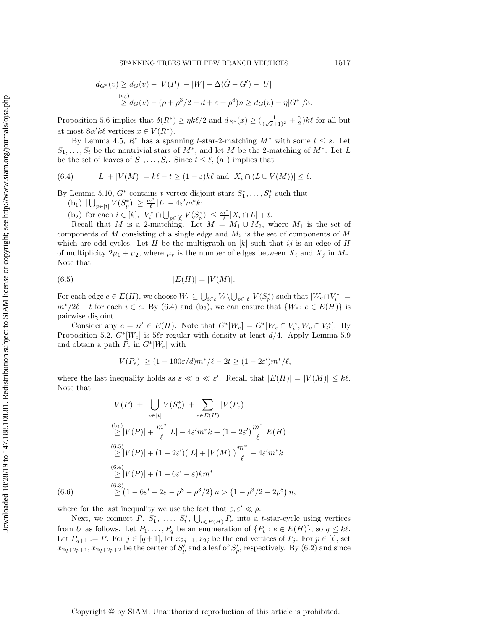$$
d_{G^*}(v) \ge d_G(v) - |V(P)| - |W| - \Delta(\hat{G} - G') - |U|
$$
  
\n
$$
\ge d_G(v) - (\rho + \rho^3/2 + d + \varepsilon + \rho^8)n \ge d_G(v) - \eta |G^*|/3.
$$

Proposition [5.6](#page-10-0) implies that  $\delta(R^*) \geq \eta k\ell/2$  and  $d_{R^*}(x) \geq (\frac{1}{(\sqrt{s}+1)^2} + \frac{\gamma}{2})k\ell$  for all but at most  $8\alpha' k\ell$  vertices  $x \in V(R^*)$ .

By Lemma [4.5,](#page-8-1)  $R^*$  has a spanning t-star-2-matching  $M^*$  with some  $t \leq s$ . Let  $S_1, \ldots, S_t$  be the nontrivial stars of  $M^*$ , and let M be the 2-matching of  $M^*$ . Let L be the set of leaves of  $S_1, \ldots, S_t$ . Since  $t \leq \ell$ , [\(a](#page-14-1)<sub>1</sub>) implies that

<span id="page-15-0"></span>(6.4) 
$$
|L| + |V(M)| = k\ell - t \ge (1 - \varepsilon)k\ell \text{ and } |X_i \cap (L \cup V(M))| \le \ell.
$$

<span id="page-15-2"></span>By Lemma [5.10,](#page-11-0)  $G^*$  contains t vertex-disjoint stars  $S_1^*, \ldots, S_t^*$  such that

(b<sub>1</sub>)  $|\bigcup_{p \in [t]} V(S_p^*)| \ge \frac{m^*}{\ell} |L| - 4\varepsilon' m^* k;$ 

<span id="page-15-1"></span>(b<sub>2</sub>) for each  $i \in [k]$ ,  $|V_i^* \cap \bigcup_{p \in [t]} V(S_p^*)| \leq \frac{m^*}{\ell} |X_i \cap L| + t$ .

Recall that M is a 2-matching. Let  $M = M_1 \cup M_2$ , where  $M_1$  is the set of components of  $M$  consisting of a single edge and  $M_2$  is the set of components of  $M$ which are odd cycles. Let H be the multigraph on  $[k]$  such that ij is an edge of H of multiplicity  $2\mu_1 + \mu_2$ , where  $\mu_r$  is the number of edges between  $X_i$  and  $X_j$  in  $M_r$ . Note that

<span id="page-15-3"></span>(6.5) 
$$
|E(H)| = |V(M)|.
$$

For each edge  $e \in E(H)$ , we choose  $W_e \subseteq \bigcup_{i \in e} V_i \setminus \bigcup_{p \in [t]} V(S_p^*)$  such that  $|W_e \cap V_i^*|$  $m^*/2\ell - t$  for each  $i \in e$ . By [\(6.4\)](#page-15-0) and [\(b](#page-15-1)<sub>2</sub>), we can ensure that  $\{W_e : e \in E(H)\}\$ is pairwise disjoint.

Consider any  $e = ii' \in E(H)$ . Note that  $G^*[W_e] = G^*[W_e \cap V_i^*, W_e \cap V_{i'}^*]$ . By Proposition [5.2,](#page-9-4)  $G^*[W_e]$  is 5 $\ell \varepsilon$ -regular with density at least  $d/4$ . Apply Lemma [5.9](#page-11-1) and obtain a path  $P_e$  in  $G^*[W_e]$  with

$$
|V(P_e)| \ge (1 - 100\varepsilon/d)m^*/\ell - 2t \ge (1 - 2\varepsilon')m^*/\ell,
$$

where the last inequality holds as  $\varepsilon \ll d \ll \varepsilon'$ . Recall that  $|E(H)| = |V(M)| \leq k\ell$ . Note that

$$
|V(P)| + |\bigcup_{p \in [t]} V(S_p^*)| + \sum_{e \in E(H)} |V(P_e)|
$$
  
\n
$$
\geq |V(P)| + \frac{m^*}{\ell} |L| - 4\varepsilon' m^* k + (1 - 2\varepsilon') \frac{m^*}{\ell} |E(H)|
$$
  
\n
$$
\stackrel{(6.5)}{\geq} |V(P)| + (1 - 2\varepsilon') (|L| + |V(M)|) \frac{m^*}{\ell} - 4\varepsilon' m^* k
$$
  
\n
$$
\stackrel{(6.4)}{\geq} |V(P)| + (1 - 6\varepsilon' - \varepsilon) km^*
$$
  
\n
$$
\stackrel{(6.3)}{\geq} (1 - 6\varepsilon' - 2\varepsilon - \rho^8 - \rho^3/2) n > (1 - \rho^3/2 - 2\rho^8) n,
$$

<span id="page-15-4"></span>

where for the last inequality we use the fact that  $\varepsilon, \varepsilon' \ll \rho$ .

Next, we connect P,  $S_1^*$ , ...,  $S_t^*$ ,  $\bigcup_{e \in E(H)} P_e$  into a t-star-cycle using vertices from U as follows. Let  $P_1, \ldots, P_q$  be an enumeration of  $\{P_e : e \in E(H)\}\)$ , so  $q \leq k\ell$ . Let  $P_{q+1} := P$ . For  $j \in [q+1]$ , let  $x_{2j-1}, x_{2j}$  be the end vertices of  $P_j$ . For  $p \in [t]$ , set  $x_{2q+2p+1}, x_{2q+2p+2}$  be the center of  $S_p'$  and a leaf of  $S_p'$ , respectively. By [\(6.2\)](#page-14-3) and since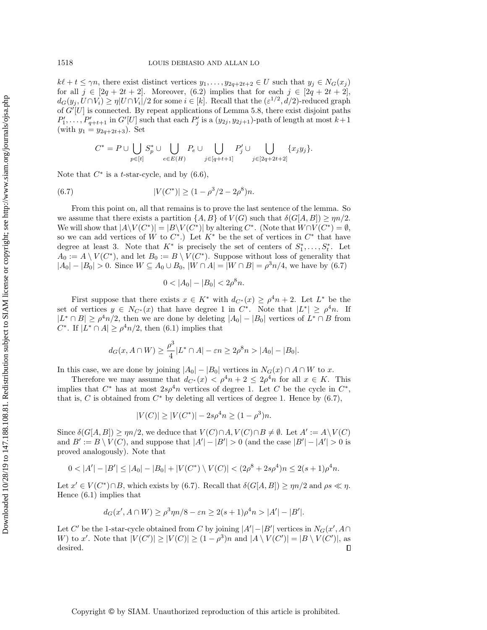$k\ell + t \leq \gamma n$ , there exist distinct vertices  $y_1, \ldots, y_{2q+2t+2} \in U$  such that  $y_j \in N_G(x_j)$ for all  $j \in [2q + 2t + 2]$ . Moreover, [\(6.2\)](#page-14-3) implies that for each  $j \in [2q + 2t + 2]$ ,  $d_G(y_j, U \cap V_i) \ge \eta |U \cap V_i|/2$  for some  $i \in [k]$ . Recall that the  $(\varepsilon^{1/2}, d/2)$ -reduced graph of  $G'[U]$  is connected. By repeat applications of Lemma [5.8,](#page-11-2) there exist disjoint paths  $P'_1, \ldots, P'_{q+t+1}$  in  $G'[U]$  such that each  $P'_j$  is a  $(y_{2j}, y_{2j+1})$ -path of length at most  $k+1$ (with  $y_1 = y_{2q+2t+3}$ ). Set

$$
C^*=P\cup\bigcup_{p\in[t]}S_p^*\cup\bigcup_{e\in E(H)}P_e\cup\bigcup_{j\in[q+t+1]}P'_j\cup\bigcup_{j\in[2q+2t+2]} \{x_jy_j\}.
$$

Note that  $C^*$  is a *t*-star-cycle, and by  $(6.6)$ ,

<span id="page-16-0"></span>(6.7) 
$$
|V(C^*)| \ge (1 - \rho^3/2 - 2\rho^8)n.
$$

From this point on, all that remains is to prove the last sentence of the lemma. So we assume that there exists a partition  $\{A, B\}$  of  $V(G)$  such that  $\delta(G[A, B]) \ge \eta n/2$ . We will show that  $|A \setminus V(C^*)| = |B \setminus V(C^*)|$  by altering  $C^*$ . (Note that  $W \cap V(C^*) = \emptyset$ , so we can add vertices of W to  $C^*$ .) Let  $K^*$  be the set of vertices in  $C^*$  that have degree at least 3. Note that  $K^*$  is precisely the set of centers of  $S_1^*, \ldots, S_t^*$ . Let  $A_0 := A \setminus V(C^*)$ , and let  $B_0 := B \setminus V(C^*)$ . Suppose without loss of generality that  $|A_0| - |B_0| > 0$ . Since  $W \subseteq A_0 \cup B_0$ ,  $|W \cap A| = |W \cap B| = \rho^3 n/4$ , we have by [\(6.7\)](#page-16-0)

$$
0<|A_0|-|B_0|<2\rho^8n.
$$

First suppose that there exists  $x \in K^*$  with  $d_{C^*}(x) \geq \rho^4 n + 2$ . Let  $L^*$  be the set of vertices  $y \in N_{C^*}(x)$  that have degree 1 in  $C^*$ . Note that  $|L^*| \geq \rho^4 n$ . If  $|L^* \cap B| \ge \rho^4 n/2$ , then we are done by deleting  $|A_0| - |B_0|$  vertices of  $L^* \cap B$  from C<sup>\*</sup>. If  $|L^* \cap A| \ge \rho^4 n/2$ , then [\(6.1\)](#page-14-4) implies that

$$
d_G(x, A \cap W) \ge \frac{\rho^3}{4} |L^* \cap A| - \varepsilon n \ge 2\rho^8 n > |A_0| - |B_0|.
$$

In this case, we are done by joining  $|A_0| - |B_0|$  vertices in  $N_G(x) \cap A \cap W$  to x.

Therefore we may assume that  $d_{C^*}(x) < \rho^4 n + 2 \leq 2\rho^4 n$  for all  $x \in K$ . This implies that  $C^*$  has at most  $2s\rho^4n$  vertices of degree 1. Let C be the cycle in  $C^*$ , that is, C is obtained from  $C^*$  by deleting all vertices of degree 1. Hence by  $(6.7)$ ,

$$
|V(C)| \ge |V(C^*)| - 2s\rho^4 n \ge (1 - \rho^3)n.
$$

Since  $\delta(G[A, B]) \ge \eta n/2$ , we deduce that  $V(C) \cap A, V(C) \cap B \neq \emptyset$ . Let  $A' := A \setminus V(C)$ and  $B' := B \setminus V(C)$ , and suppose that  $|A'| - |B'| > 0$  (and the case  $|B'| - |A'| > 0$  is proved analogously). Note that

$$
0 < |A'| - |B'| \le |A_0| - |B_0| + |V(C^*) \setminus V(C)| < (2\rho^8 + 2s\rho^4)n \le 2(s+1)\rho^4 n.
$$

Let  $x' \in V(C^*) \cap B$ , which exists by [\(6.7\)](#page-16-0). Recall that  $\delta(G[A, B]) \ge \eta n/2$  and  $\rho s \ll \eta$ . Hence [\(6.1\)](#page-14-4) implies that

$$
d_G(x', A \cap W) \ge \rho^3 \eta n/8 - \varepsilon n \ge 2(s+1)\rho^4 n > |A'| - |B'|.
$$

Let C' be the 1-star-cycle obtained from C by joining  $|A'|-|B'|$  vertices in  $N_G(x', A \cap$ W) to x'. Note that  $|V(C')| \ge |V(C)| \ge (1 - \rho^3)n$  and  $|A \setminus V(C')| = |B \setminus V(C')|$ , as  $\Box$ desired.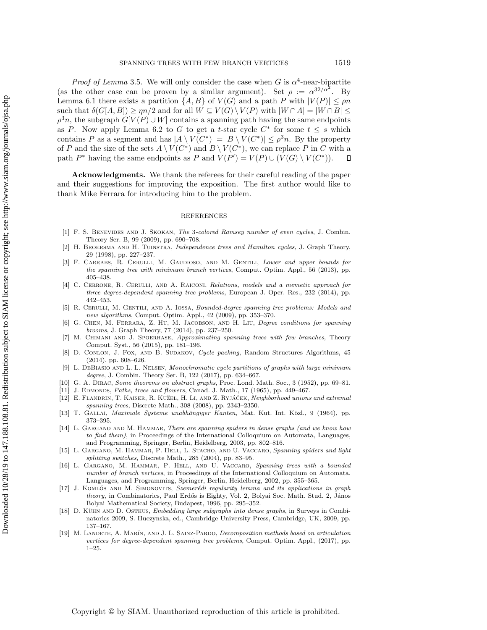*Proof of Lemma* [3.5](#page-5-0). We will only consider the case when G is  $\alpha^4$ -near-bipartite (as the other case can be proven by a similar argument). Set  $\rho := \alpha^{32/\alpha^2}$ . By Lemma [6.1](#page-13-2) there exists a partition  $\{A, B\}$  of  $V(G)$  and a path P with  $|V(P)| \le \rho n$ such that  $\delta(G[A, B]) \ge \eta n/2$  and for all  $W \subseteq V(G) \setminus V(P)$  with  $|W \cap A| = |W \cap B| \le$  $\rho^3 n$ , the subgraph  $G[V(P) \cup W]$  contains a spanning path having the same endpoints as P. Now apply Lemma [6.2](#page-13-1) to G to get a t-star cycle  $C^*$  for some  $t \leq s$  which contains P as a segment and has  $|A \setminus V(C^*)| = |B \setminus V(C^*)| \leq \rho^3 n$ . By the property of P and the size of the sets  $A \setminus V(C^*)$  and  $B \setminus V(C^*)$ , we can replace P in C with a path  $P^*$  having the same endpoints as P and  $V(P') = V(P) \cup (V(G) \setminus V(C^*)).$  $\Box$ 

Acknowledgments. We thank the referees for their careful reading of the paper and their suggestions for improving the exposition. The first author would like to thank Mike Ferrara for introducing him to the problem.

#### REFERENCES

- <span id="page-17-18"></span>[1] F. S. Benevides and J. Skokan, The 3-colored Ramsey number of even cycles, J. Combin. Theory Ser. B, 99 (2009), pp. 690–708.
- <span id="page-17-1"></span>[2] H. Broersma and H. Tuinstra, Independence trees and Hamilton cycles, J. Graph Theory, 29 (1998), pp. 227–237.
- <span id="page-17-4"></span>[3] F. CARRABS, R. CERULLI, M. GAUDIOSO, AND M. GENTILI, Lower and upper bounds for the spanning tree with minimum branch vertices, Comput. Optim. Appl., 56 (2013), pp. 405–438.
- <span id="page-17-5"></span>[4] C. CERRONE, R. CERULLI, AND A. RAICONI, Relations, models and a memetic approach for three degree-dependent spanning tree problems, European J. Oper. Res., 232 (2014), pp. 442–453.
- <span id="page-17-6"></span>[5] R. Cerulli, M. Gentili, and A. Iossa, Bounded-degree spanning tree problems: Models and new algorithms, Comput. Optim. Appl., 42 (2009), pp. 353–370.
- <span id="page-17-10"></span>[6] G. Chen, M. Ferrara, Z. Hu, M. Jacobson, and H. Liu, Degree conditions for spanning brooms, J. Graph Theory, 77 (2014), pp. 237–250.
- <span id="page-17-7"></span>M. CHIMANI AND J. SPOERHASE, Approximating spanning trees with few branches, Theory Comput. Syst., 56 (2015), pp. 181–196.
- <span id="page-17-13"></span>[8] D. CONLON, J. FOX, AND B. SUDAKOV, Cycle packing, Random Structures Algorithms, 45 (2014), pp. 608–626.
- <span id="page-17-12"></span>[9] L. DEBIASIO AND L. L. NELSEN, Monochromatic cycle partitions of graphs with large minimum degree, J. Combin. Theory Ser. B, 122 (2017), pp. 634–667.
- <span id="page-17-0"></span>[10] G. A. Dirac, Some theorems on abstract graphs, Proc. Lond. Math. Soc., 3 (1952), pp. 69–81.
- <span id="page-17-14"></span>[11] J. EDMONDS, Paths, trees and flowers, Canad. J. Math., 17 (1965), pp. 449–467.
- <span id="page-17-11"></span>[12] E. FLANDRIN, T. KAISER, R. KUŽEL, H. LI, AND Z. RYJÁČEK, Neighborhood unions and extremal spanning trees, Discrete Math., 308 (2008), pp. 2343–2350.
- <span id="page-17-15"></span>[13] T. GALLAI, Maximale Systeme unabhängiger Kanten, Mat. Kut. Int. Közl., 9 (1964), pp. 373–395.
- <span id="page-17-9"></span>[14] L. GARGANO AND M. HAMMAR, There are spanning spiders in dense graphs (and we know how to find them), in Proceedings of the International Colloquium on Automata, Languages, and Programming, Springer, Berlin, Heidelberg, 2003, pp. 802–816.
- <span id="page-17-2"></span>[15] L. GARGANO, M. HAMMAR, P. HELL, L. STACHO, AND U. VACCARO, Spanning spiders and light splitting switches, Discrete Math., 285 (2004), pp. 83–95.
- <span id="page-17-3"></span>[16] L. Gargano, M. Hammar, P. Hell, and U. Vaccaro, Spanning trees with a bounded number of branch vertices, in Proceedings of the International Colloquium on Automata, Languages, and Programming, Springer, Berlin, Heidelberg, 2002, pp. 355–365.
- <span id="page-17-17"></span>[17] J. KOMLÓS AND M. SIMONOVITS, Szemerédi regularity lemma and its applications in graph theory, in Combinatorics, Paul Erdős is Eighty, Vol. 2, Bolyai Soc. Math. Stud. 2, János Bolyai Mathematical Society, Budapest, 1996, pp. 295–352.
- <span id="page-17-16"></span>[18] D. KÜHN AND D. OSTHUS, *Embedding large subgraphs into dense graphs*, in Surveys in Combinatorics 2009, S. Huczynska, ed., Cambridge University Press, Cambridge, UK, 2009, pp. 137–167.
- <span id="page-17-8"></span>[19] M. LANDETE, A. MARÍN, AND J. L. SAINZ-PARDO, Decomposition methods based on articulation vertices for degree-dependent spanning tree problems, Comput. Optim. Appl., (2017), pp. 1–25.